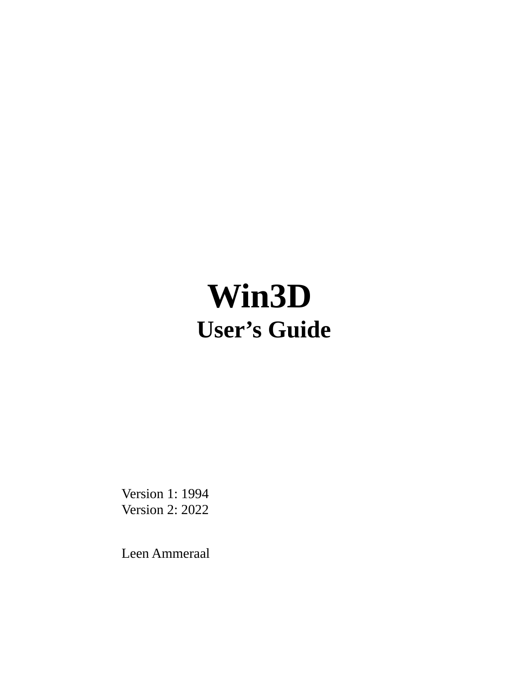## **Win3D User's Guide**

Version 1: 1994 Version 2: 2022

Leen Ammeraal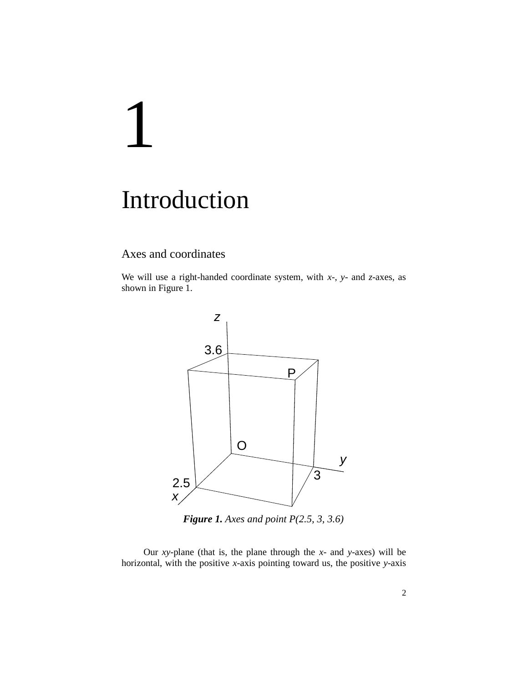# 1

### Introduction

#### Axes and coordinates

We will use a right-handed coordinate system, with *x*-, *y*- and *z*-axes, as shown in Figure 1.



*Figure 1. Axes and point P(2.5, 3, 3.6)*

Our *xy-*plane (that is, the plane through the *x*- and *y*-axes) will be horizontal, with the positive *x*-axis pointing toward us, the positive *y*-axis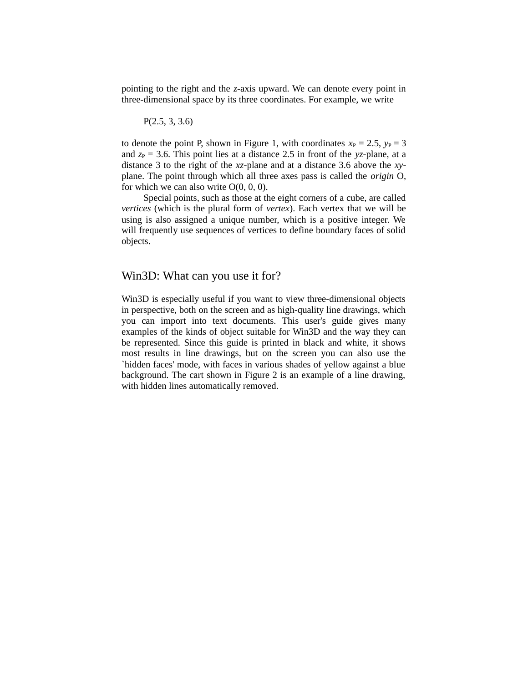pointing to the right and the *z*-axis upward. We can denote every point in three-dimensional space by its three coordinates. For example, we write

P(2.5, 3, 3.6)

to denote the point P, shown in Figure 1, with coordinates  $x_P = 2.5$ ,  $y_P = 3$ and  $z_P$  = 3.6. This point lies at a distance 2.5 in front of the *yz*-plane, at a distance 3 to the right of the *xz*-plane and at a distance 3.6 above the *xy*plane. The point through which all three axes pass is called the *origin* O, for which we can also write  $O(0, 0, 0)$ .

Special points, such as those at the eight corners of a cube, are called *vertices* (which is the plural form of *vertex*). Each vertex that we will be using is also assigned a unique number, which is a positive integer. We will frequently use sequences of vertices to define boundary faces of solid objects.

#### Win3D: What can you use it for?

Win3D is especially useful if you want to view three-dimensional objects in perspective, both on the screen and as high-quality line drawings, which you can import into text documents. This user's guide gives many examples of the kinds of object suitable for Win3D and the way they can be represented. Since this guide is printed in black and white, it shows most results in line drawings, but on the screen you can also use the `hidden faces' mode, with faces in various shades of yellow against a blue background. The cart shown in Figure 2 is an example of a line drawing, with hidden lines automatically removed.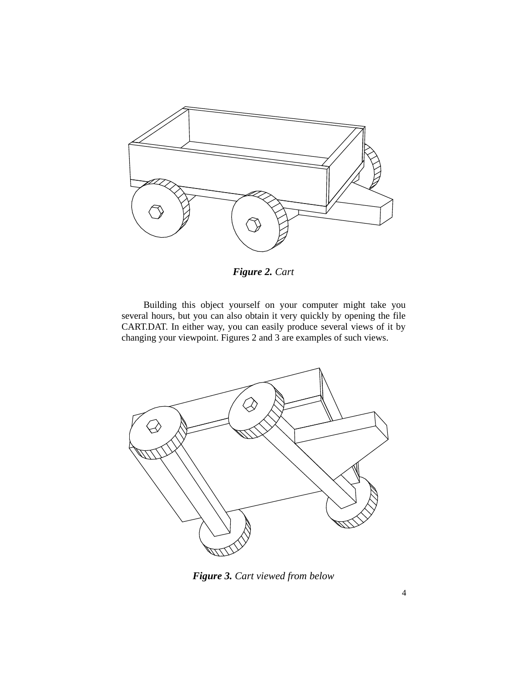

*Figure 2. Cart*

Building this object yourself on your computer might take you several hours, but you can also obtain it very quickly by opening the file CART.DAT. In either way, you can easily produce several views of it by changing your viewpoint. Figures 2 and 3 are examples of such views.



*Figure 3. Cart viewed from below*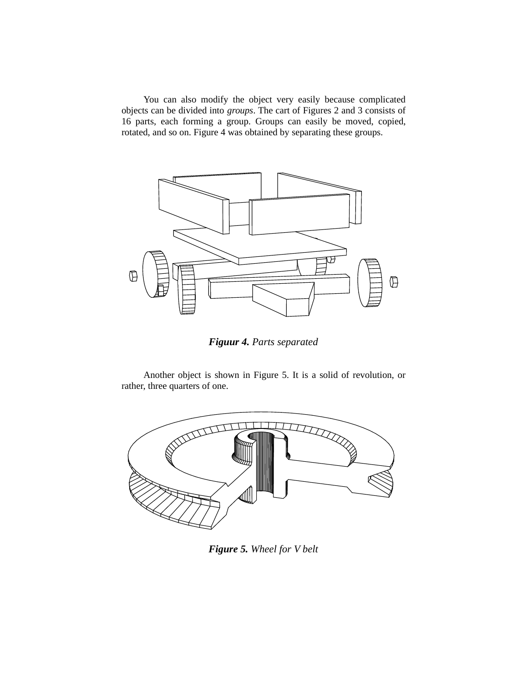You can also modify the object very easily because complicated objects can be divided into *groups*. The cart of Figures 2 and 3 consists of 16 parts, each forming a group. Groups can easily be moved, copied, rotated, and so on. Figure 4 was obtained by separating these groups.



*Figuur 4. Parts separated*

Another object is shown in Figure 5. It is a solid of revolution, or rather, three quarters of one.



*Figure 5. Wheel for V belt*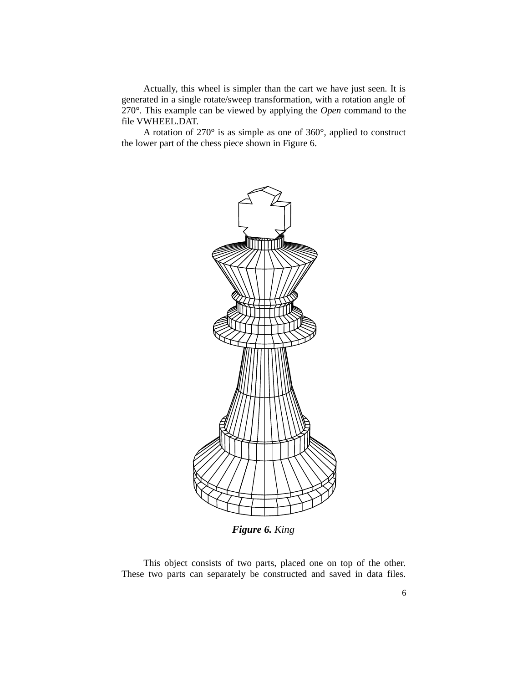Actually, this wheel is simpler than the cart we have just seen. It is generated in a single rotate/sweep transformation, with a rotation angle of 270°. This example can be viewed by applying the *Open* command to the file VWHEEL.DAT.

A rotation of 270° is as simple as one of 360°, applied to construct the lower part of the chess piece shown in Figure 6.



*Figure 6. King*

This object consists of two parts, placed one on top of the other. These two parts can separately be constructed and saved in data files.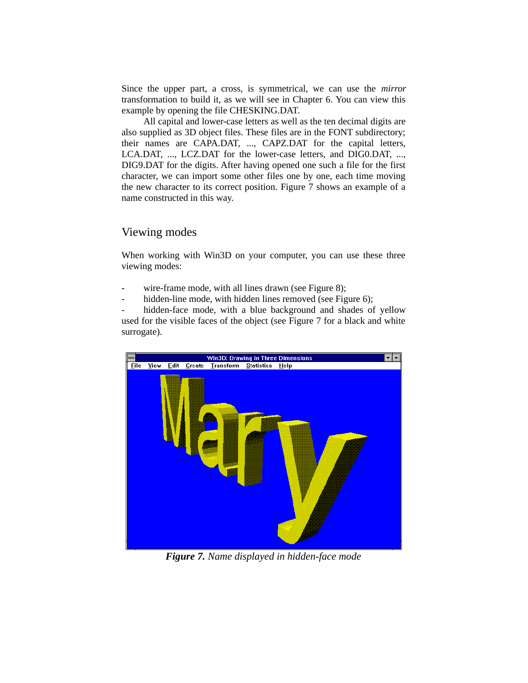Since the upper part, a cross, is symmetrical, we can use the *mirror* transformation to build it, as we will see in Chapter 6. You can view this example by opening the file CHESKING.DAT.

All capital and lower-case letters as well as the ten decimal digits are also supplied as 3D object files. These files are in the FONT subdirectory; their names are CAPA.DAT, ..., CAPZ.DAT for the capital letters, LCA.DAT, ..., LCZ.DAT for the lower-case letters, and DIG0.DAT, ..., DIG9.DAT for the digits. After having opened one such a file for the first character, we can import some other files one by one, each time moving the new character to its correct position. Figure 7 shows an example of a name constructed in this way.

#### Viewing modes

When working with Win3D on your computer, you can use these three viewing modes:

- wire-frame mode, with all lines drawn (see Figure 8);
- hidden-line mode, with hidden lines removed (see Figure 6);

hidden-face mode, with a blue background and shades of yellow used for the visible faces of the object (see Figure 7 for a black and white surrogate).



*Figure 7. Name displayed in hidden-face mode*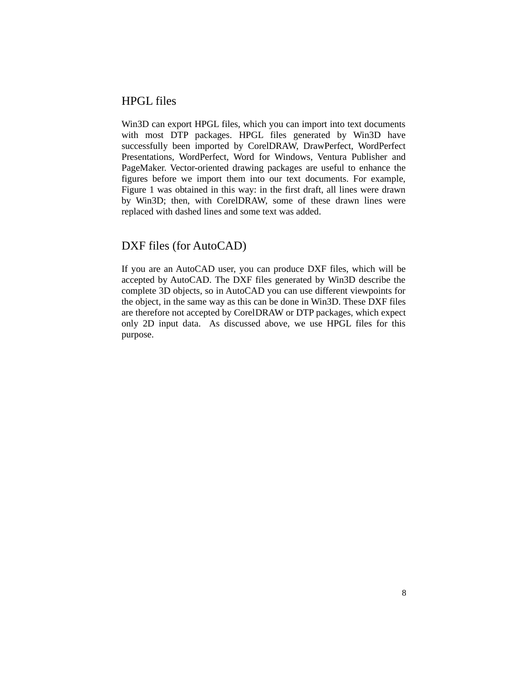#### HPGL files

Win3D can export HPGL files, which you can import into text documents with most DTP packages. HPGL files generated by Win3D have successfully been imported by CorelDRAW, DrawPerfect, WordPerfect Presentations, WordPerfect, Word for Windows, Ventura Publisher and PageMaker. Vector-oriented drawing packages are useful to enhance the figures before we import them into our text documents. For example, Figure 1 was obtained in this way: in the first draft, all lines were drawn by Win3D; then, with CorelDRAW, some of these drawn lines were replaced with dashed lines and some text was added.

#### DXF files (for AutoCAD)

If you are an AutoCAD user, you can produce DXF files, which will be accepted by AutoCAD. The DXF files generated by Win3D describe the complete 3D objects, so in AutoCAD you can use different viewpoints for the object, in the same way as this can be done in Win3D. These DXF files are therefore not accepted by CorelDRAW or DTP packages, which expect only 2D input data. As discussed above, we use HPGL files for this purpose.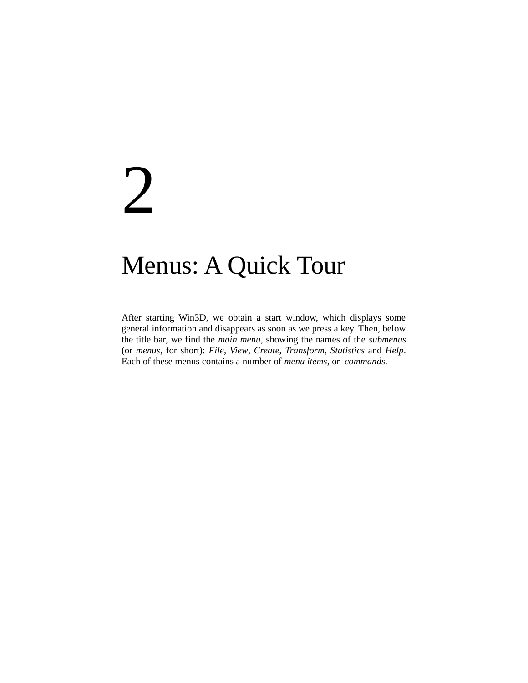## 2

## Menus: A Quick Tour

After starting Win3D, we obtain a start window, which displays some general information and disappears as soon as we press a key. Then, below the title bar, we find the *main menu*, showing the names of the *submenus* (or *menus*, for short): *File*, *View*, *Create*, *Transform*, *Statistics* and *Help*. Each of these menus contains a number of *menu items*, or *commands*.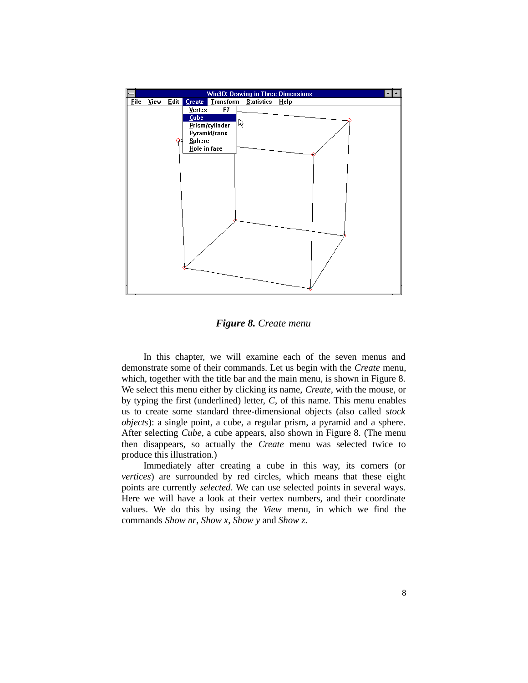

*Figure 8. Create menu*

In this chapter, we will examine each of the seven menus and demonstrate some of their commands. Let us begin with the *Create* menu, which, together with the title bar and the main menu, is shown in Figure 8. We select this menu either by clicking its name, *Create*, with the mouse, or by typing the first (underlined) letter, *C*, of this name. This menu enables us to create some standard three-dimensional objects (also called *stock objects*): a single point, a cube, a regular prism, a pyramid and a sphere. After selecting *Cube*, a cube appears, also shown in Figure 8. (The menu then disappears, so actually the *Create* menu was selected twice to produce this illustration.)

Immediately after creating a cube in this way, its corners (or *vertices*) are surrounded by red circles, which means that these eight points are currently *selected*. We can use selected points in several ways. Here we will have a look at their vertex numbers, and their coordinate values. We do this by using the *View* menu, in which we find the commands *Show nr*, *Show x*, *Show y* and *Show z*.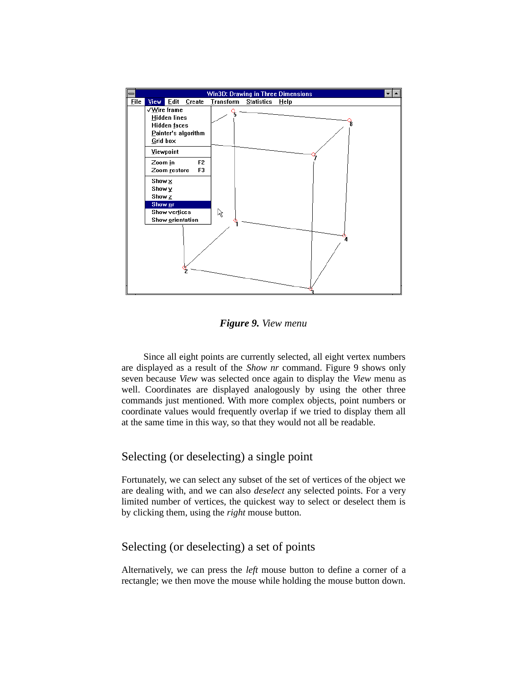

*Figure 9. View menu*

Since all eight points are currently selected, all eight vertex numbers are displayed as a result of the *Show nr* command. Figure 9 shows only seven because *View* was selected once again to display the *View* menu as well. Coordinates are displayed analogously by using the other three commands just mentioned. With more complex objects, point numbers or coordinate values would frequently overlap if we tried to display them all at the same time in this way, so that they would not all be readable.

#### Selecting (or deselecting) a single point

Fortunately, we can select any subset of the set of vertices of the object we are dealing with, and we can also *deselect* any selected points. For a very limited number of vertices, the quickest way to select or deselect them is by clicking them, using the *right* mouse button.

#### Selecting (or deselecting) a set of points

Alternatively, we can press the *left* mouse button to define a corner of a rectangle; we then move the mouse while holding the mouse button down.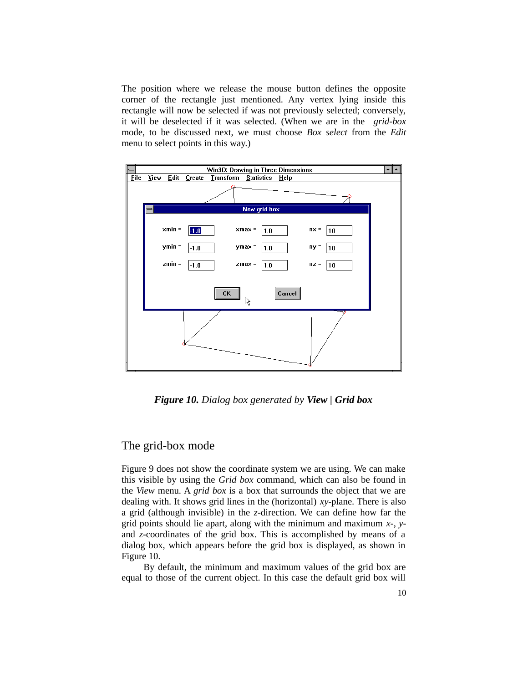The position where we release the mouse button defines the opposite corner of the rectangle just mentioned. Any vertex lying inside this rectangle will now be selected if was not previously selected; conversely, it will be deselected if it was selected. (When we are in the *grid-box* mode, to be discussed next, we must choose *Box select* from the *Edit* menu to select points in this way.)



*Figure 10. Dialog box generated by View | Grid box*

#### The grid-box mode

Figure 9 does not show the coordinate system we are using. We can make this visible by using the *Grid box* command, which can also be found in the *View* menu. A *grid box* is a box that surrounds the object that we are dealing with. It shows grid lines in the (horizontal) *xy*-plane. There is also a grid (although invisible) in the *z*-direction. We can define how far the grid points should lie apart, along with the minimum and maximum *x*-, *y*and *z*-coordinates of the grid box. This is accomplished by means of a dialog box, which appears before the grid box is displayed, as shown in Figure 10.

By default, the minimum and maximum values of the grid box are equal to those of the current object. In this case the default grid box will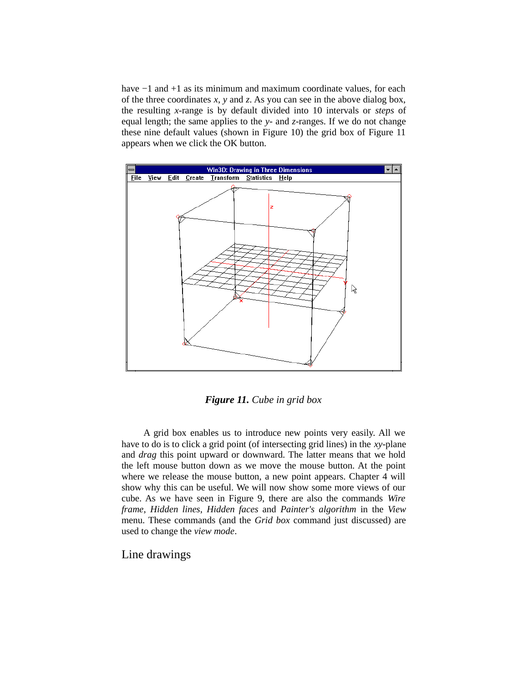have −1 and +1 as its minimum and maximum coordinate values, for each of the three coordinates *x*, *y* and *z*. As you can see in the above dialog box, the resulting *x*-range is by default divided into 10 intervals or *steps* of equal length; the same applies to the *y*- and *z*-ranges. If we do not change these nine default values (shown in Figure 10) the grid box of Figure 11 appears when we click the OK button.



*Figure 11. Cube in grid box*

A grid box enables us to introduce new points very easily. All we have to do is to click a grid point (of intersecting grid lines) in the *xy*-plane and *drag* this point upward or downward. The latter means that we hold the left mouse button down as we move the mouse button. At the point where we release the mouse button, a new point appears. Chapter 4 will show why this can be useful. We will now show some more views of our cube. As we have seen in Figure 9, there are also the commands *Wire frame*, *Hidden lines*, *Hidden faces* and *Painter's algorithm* in the *View* menu. These commands (and the *Grid box* command just discussed) are used to change the *view mode*.

Line drawings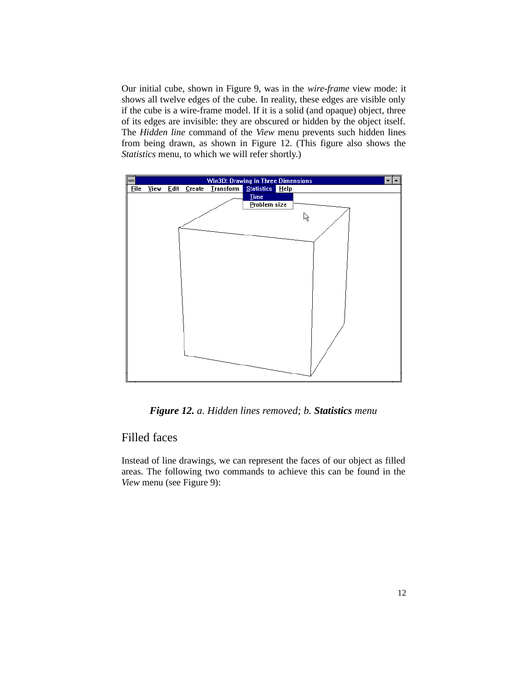Our initial cube, shown in Figure 9, was in the *wire-frame* view mode: it shows all twelve edges of the cube. In reality, these edges are visible only if the cube is a wire-frame model. If it is a solid (and opaque) object, three of its edges are invisible: they are obscured or hidden by the object itself. The *Hidden line* command of the *View* menu prevents such hidden lines from being drawn, as shown in Figure 12. (This figure also shows the *Statistics* menu, to which we will refer shortly.)



*Figure 12. a. Hidden lines removed; b. Statistics menu*

#### Filled faces

Instead of line drawings, we can represent the faces of our object as filled areas. The following two commands to achieve this can be found in the *View* menu (see Figure 9):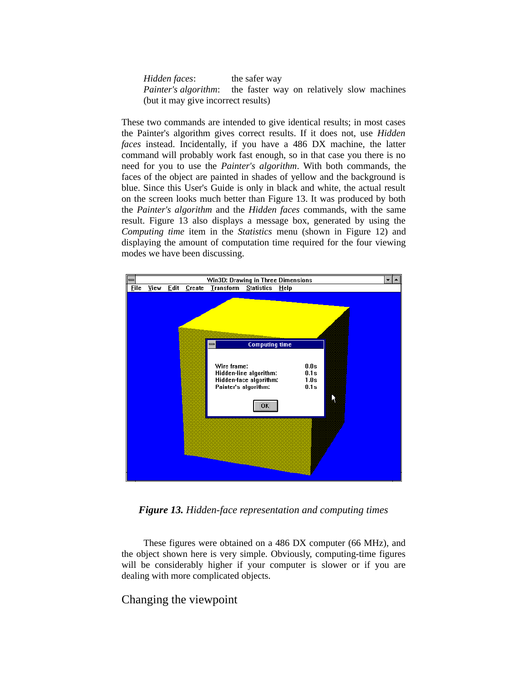| Hidden faces:                                                          | the safer way |  |  |  |
|------------------------------------------------------------------------|---------------|--|--|--|
| <i>Painter's algorithm:</i> the faster way on relatively slow machines |               |  |  |  |
| (but it may give incorrect results)                                    |               |  |  |  |

These two commands are intended to give identical results; in most cases the Painter's algorithm gives correct results. If it does not, use *Hidden faces* instead. Incidentally, if you have a 486 DX machine, the latter command will probably work fast enough, so in that case you there is no need for you to use the *Painter's algorithm*. With both commands, the faces of the object are painted in shades of yellow and the background is blue. Since this User's Guide is only in black and white, the actual result on the screen looks much better than Figure 13. It was produced by both the *Painter's algorithm* and the *Hidden faces* commands, with the same result. Figure 13 also displays a message box, generated by using the *Computing time* item in the *Statistics* menu (shown in Figure 12) and displaying the amount of computation time required for the four viewing modes we have been discussing.



*Figure 13. Hidden-face representation and computing times*

These figures were obtained on a 486 DX computer (66 MHz), and the object shown here is very simple. Obviously, computing-time figures will be considerably higher if your computer is slower or if you are dealing with more complicated objects.

#### Changing the viewpoint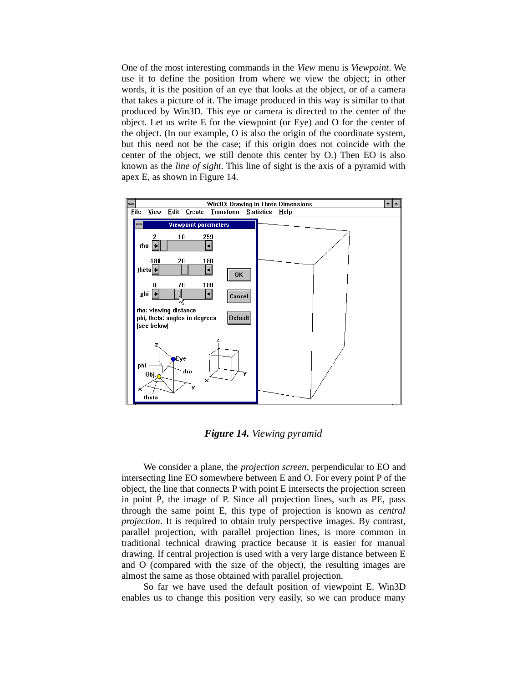One of the most interesting commands in the *View* menu is *Viewpoint*. We use it to define the position from where we view the object; in other words, it is the position of an eye that looks at the object, or of a camera that takes a picture of it. The image produced in this way is similar to that produced by Win3D. This eye or camera is directed to the center of the object. Let us write E for the viewpoint (or Eye) and O for the center of the object. (In our example, O is also the origin of the coordinate system, but this need not be the case; if this origin does not coincide with the center of the object, we still denote this center by O.) Then EO is also known as the *line of sight*. This line of sight is the axis of a pyramid with apex E, as shown in Figure 14.



*Figure 14. Viewing pyramid*

We consider a plane, the *projection screen*, perpendicular to EO and intersecting line EO somewhere between E and O. For every point P of the object, the line that connects P with point E intersects the projection screen in point  $\hat{P}$ , the image of P. Since all projection lines, such as PE, pass through the same point E, this type of projection is known as *central projection*. It is required to obtain truly perspective images. By contrast, parallel projection, with parallel projection lines, is more common in traditional technical drawing practice because it is easier for manual drawing. If central projection is used with a very large distance between E and O (compared with the size of the object), the resulting images are almost the same as those obtained with parallel projection.

So far we have used the default position of viewpoint E. Win3D enables us to change this position very easily, so we can produce many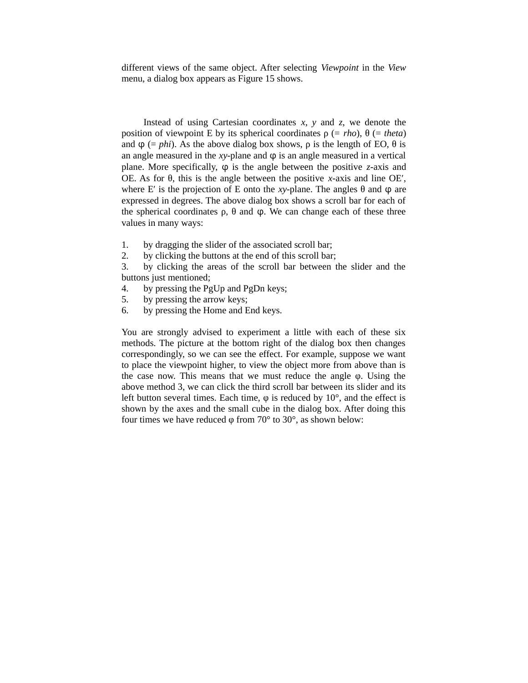different views of the same object. After selecting *Viewpoint* in the *View* menu, a dialog box appears as Figure 15 shows.

Instead of using Cartesian coordinates *x*, *y* and *z*, we denote the position of viewpoint E by its spherical coordinates  $ρ$  (= *rho*),  $θ$  (= *theta*) and  $φ$  (= *phi*). As the above dialog box shows,  $ρ$  is the length of EO,  $θ$  is an angle measured in the *xy*-plane and  $\varphi$  is an angle measured in a vertical plane. More specifically, φ is the angle between the positive *z*-axis and OE. As for θ, this is the angle between the positive *x*-axis and line OE′, where E' is the projection of E onto the *xy*-plane. The angles  $θ$  and  $φ$  are expressed in degrees. The above dialog box shows a scroll bar for each of the spherical coordinates  $ρ$ ,  $θ$  and  $φ$ . We can change each of these three values in many ways:

- 1. by dragging the slider of the associated scroll bar;
- 2. by clicking the buttons at the end of this scroll bar;

3. by clicking the areas of the scroll bar between the slider and the buttons just mentioned;

- 4. by pressing the PgUp and PgDn keys;
- 5. by pressing the arrow keys;
- 6. by pressing the Home and End keys.

You are strongly advised to experiment a little with each of these six methods. The picture at the bottom right of the dialog box then changes correspondingly, so we can see the effect. For example, suppose we want to place the viewpoint higher, to view the object more from above than is the case now. This means that we must reduce the angle φ. Using the above method 3, we can click the third scroll bar between its slider and its left button several times. Each time,  $\varphi$  is reduced by 10 $^{\circ}$ , and the effect is shown by the axes and the small cube in the dialog box. After doing this four times we have reduced φ from 70° to 30°, as shown below: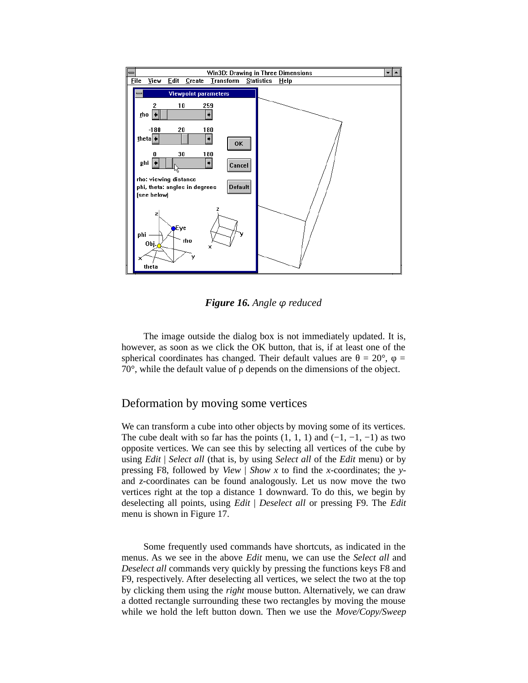

*Figure 16. Angle φ reduced*

The image outside the dialog box is not immediately updated. It is, however, as soon as we click the OK button, that is, if at least one of the spherical coordinates has changed. Their default values are  $θ = 20°$ ,  $φ =$ 70°, while the default value of ρ depends on the dimensions of the object.

#### Deformation by moving some vertices

We can transform a cube into other objects by moving some of its vertices. The cube dealt with so far has the points  $(1, 1, 1)$  and  $(-1, -1, -1)$  as two opposite vertices. We can see this by selecting all vertices of the cube by using *Edit* | *Select all* (that is, by using *Select all* of the *Edit* menu) or by pressing F8, followed by *View* | *Show x* to find the *x*-coordinates; the *y*and *z*-coordinates can be found analogously. Let us now move the two vertices right at the top a distance 1 downward. To do this, we begin by deselecting all points, using *Edit* | *Deselect all* or pressing F9. The *Edit* menu is shown in Figure 17.

Some frequently used commands have shortcuts, as indicated in the menus. As we see in the above *Edit* menu, we can use the *Select all* and *Deselect all* commands very quickly by pressing the functions keys F8 and F9, respectively. After deselecting all vertices, we select the two at the top by clicking them using the *right* mouse button. Alternatively, we can draw a dotted rectangle surrounding these two rectangles by moving the mouse while we hold the left button down. Then we use the *Move/Copy/Sweep*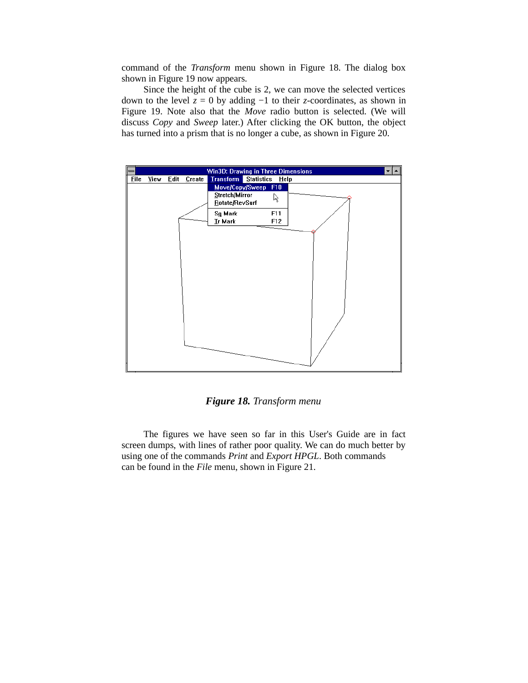command of the *Transform* menu shown in Figure 18. The dialog box shown in Figure 19 now appears.

Since the height of the cube is 2, we can move the selected vertices down to the level *z* = 0 by adding −1 to their *z*-coordinates, as shown in Figure 19. Note also that the *Move* radio button is selected. (We will discuss *Copy* and *Sweep* later.) After clicking the OK button, the object has turned into a prism that is no longer a cube, as shown in Figure 20.



#### *Figure 18. Transform menu*

The figures we have seen so far in this User's Guide are in fact screen dumps, with lines of rather poor quality. We can do much better by using one of the commands *Print* and *Export HPGL*. Both commands can be found in the *File* menu, shown in Figure 21.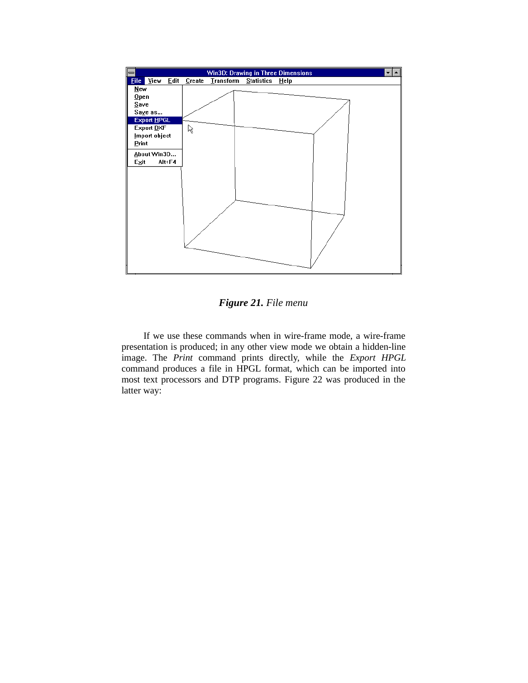

*Figure 21. File menu*

If we use these commands when in wire-frame mode, a wire-frame presentation is produced; in any other view mode we obtain a hidden-line image. The *Print* command prints directly, while the *Export HPGL* command produces a file in HPGL format, which can be imported into most text processors and DTP programs. Figure 22 was produced in the latter way: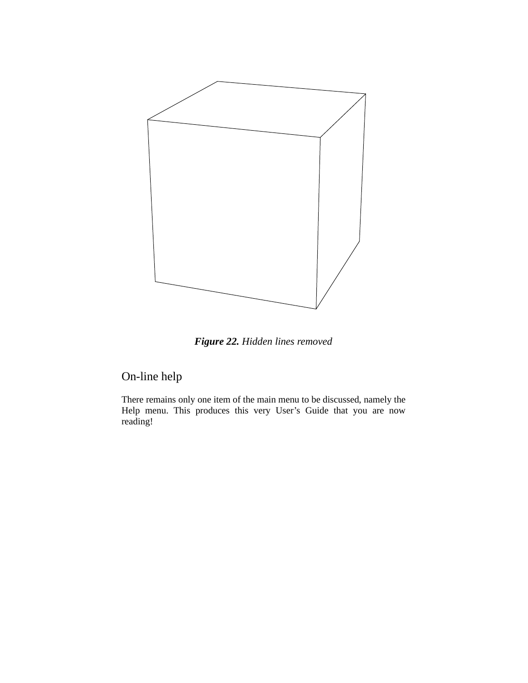

*Figure 22. Hidden lines removed*

#### On-line help

There remains only one item of the main menu to be discussed, namely the Help menu. This produces this very User's Guide that you are now reading!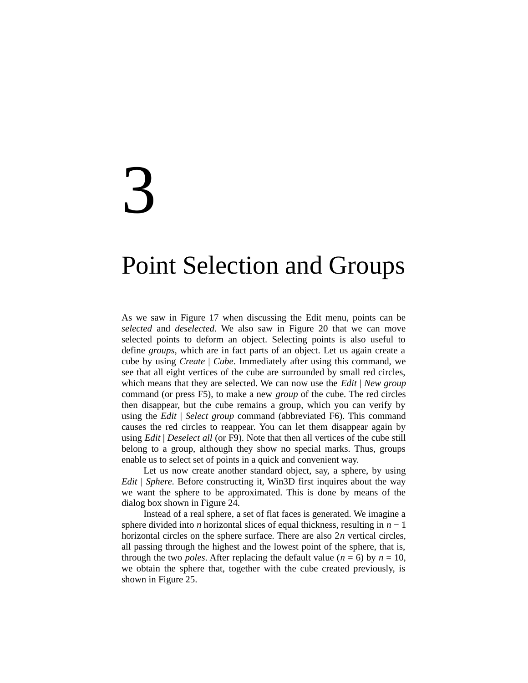## 3

### Point Selection and Groups

As we saw in Figure 17 when discussing the Edit menu, points can be *selected* and *deselected*. We also saw in Figure 20 that we can move selected points to deform an object. Selecting points is also useful to define *groups*, which are in fact parts of an object. Let us again create a cube by using *Create* | *Cube*. Immediately after using this command, we see that all eight vertices of the cube are surrounded by small red circles, which means that they are selected. We can now use the *Edit* | *New group* command (or press F5), to make a new *group* of the cube. The red circles then disappear, but the cube remains a group, which you can verify by using the *Edit* | *Select group* command (abbreviated F6). This command causes the red circles to reappear. You can let them disappear again by using *Edit* | *Deselect all* (or F9). Note that then all vertices of the cube still belong to a group, although they show no special marks. Thus, groups enable us to select set of points in a quick and convenient way.

Let us now create another standard object, say, a sphere, by using *Edit* | *Sphere*. Before constructing it, Win3D first inquires about the way we want the sphere to be approximated. This is done by means of the dialog box shown in Figure 24.

Instead of a real sphere, a set of flat faces is generated. We imagine a sphere divided into *n* horizontal slices of equal thickness, resulting in *n* − 1 horizontal circles on the sphere surface. There are also 2*n* vertical circles, all passing through the highest and the lowest point of the sphere, that is, through the two *poles*. After replacing the default value ( $n = 6$ ) by  $n = 10$ , we obtain the sphere that, together with the cube created previously, is shown in Figure 25.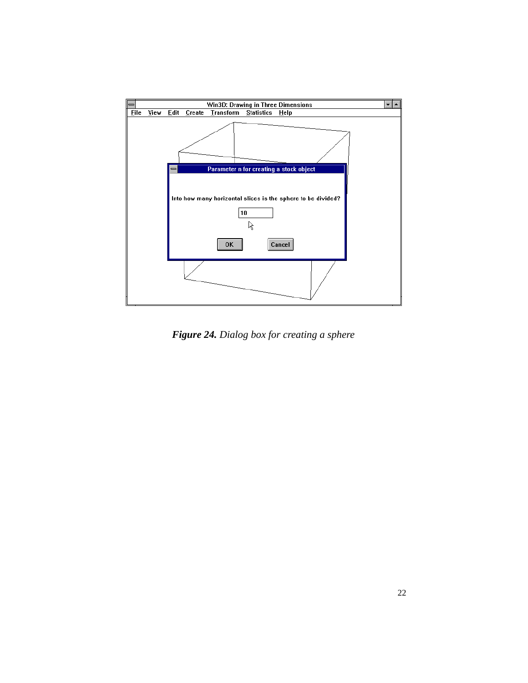

*Figure 24. Dialog box for creating a sphere*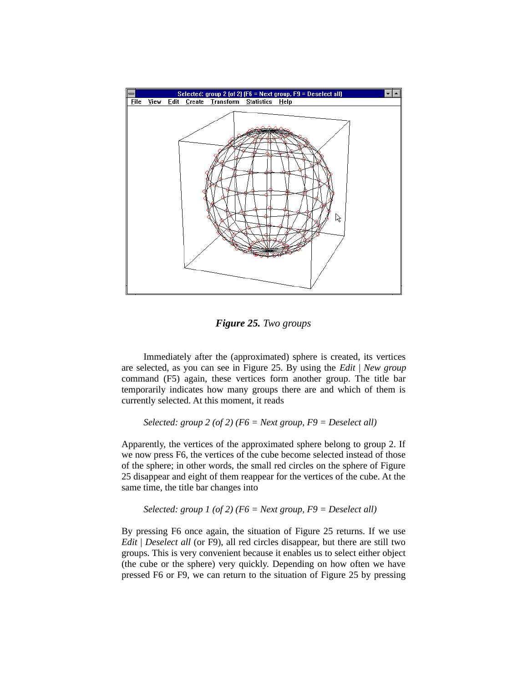

*Figure 25. Two groups*

Immediately after the (approximated) sphere is created, its vertices are selected, as you can see in Figure 25. By using the *Edit* | *New group* command (F5) again, these vertices form another group. The title bar temporarily indicates how many groups there are and which of them is currently selected. At this moment, it reads

*Selected: group 2 (of 2) (F6 = Next group, F9 = Deselect all)*

Apparently, the vertices of the approximated sphere belong to group 2. If we now press F6, the vertices of the cube become selected instead of those of the sphere; in other words, the small red circles on the sphere of Figure 25 disappear and eight of them reappear for the vertices of the cube. At the same time, the title bar changes into

```
Selected: group 1 (of 2) (F6 = Next group, F9 = Deselect all)
```
By pressing F6 once again, the situation of Figure 25 returns. If we use *Edit* | *Deselect all* (or F9), all red circles disappear, but there are still two groups. This is very convenient because it enables us to select either object (the cube or the sphere) very quickly. Depending on how often we have pressed F6 or F9, we can return to the situation of Figure 25 by pressing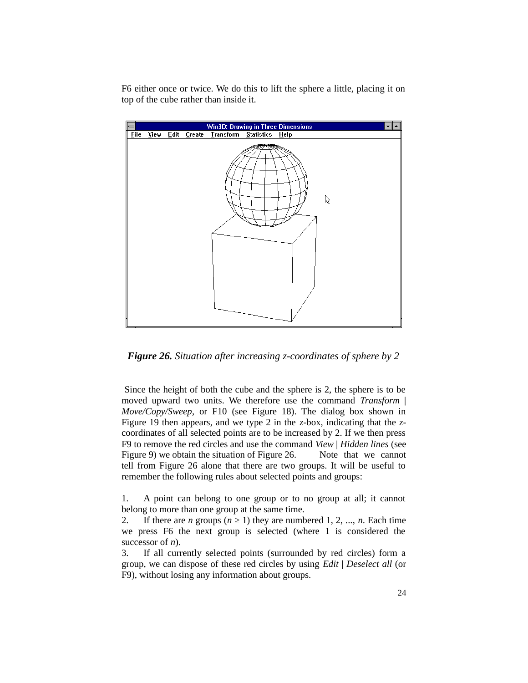F6 either once or twice. We do this to lift the sphere a little, placing it on top of the cube rather than inside it.



*Figure 26. Situation after increasing z-coordinates of sphere by 2*

 Since the height of both the cube and the sphere is 2, the sphere is to be moved upward two units. We therefore use the command *Transform* | *Move/Copy/Sweep*, or F10 (see Figure 18). The dialog box shown in Figure 19 then appears, and we type 2 in the *z*-box, indicating that the *z*coordinates of all selected points are to be increased by 2. If we then press F9 to remove the red circles and use the command *View* | *Hidden lines* (see Figure 9) we obtain the situation of Figure 26. Note that we cannot tell from Figure 26 alone that there are two groups. It will be useful to remember the following rules about selected points and groups:

1. A point can belong to one group or to no group at all; it cannot belong to more than one group at the same time.

2. If there are *n* groups ( $n \ge 1$ ) they are numbered 1, 2, ..., *n*. Each time we press F6 the next group is selected (where 1 is considered the successor of *n*).

3. If all currently selected points (surrounded by red circles) form a group, we can dispose of these red circles by using *Edit* | *Deselect all* (or F9), without losing any information about groups.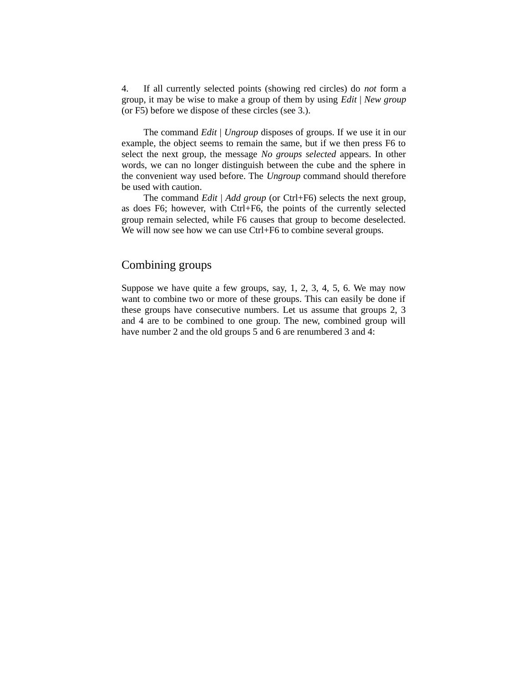4. If all currently selected points (showing red circles) do *not* form a group, it may be wise to make a group of them by using *Edit* | *New group* (or F5) before we dispose of these circles (see 3.).

The command *Edit* | *Ungroup* disposes of groups. If we use it in our example, the object seems to remain the same, but if we then press F6 to select the next group, the message *No groups selected* appears. In other words, we can no longer distinguish between the cube and the sphere in the convenient way used before. The *Ungroup* command should therefore be used with caution.

The command *Edit* | *Add group* (or Ctrl+F6) selects the next group, as does F6; however, with Ctrl+F6, the points of the currently selected group remain selected, while F6 causes that group to become deselected. We will now see how we can use Ctrl+F6 to combine several groups.

#### Combining groups

Suppose we have quite a few groups, say, 1, 2, 3, 4, 5, 6. We may now want to combine two or more of these groups. This can easily be done if these groups have consecutive numbers. Let us assume that groups 2, 3 and 4 are to be combined to one group. The new, combined group will have number 2 and the old groups 5 and 6 are renumbered 3 and 4: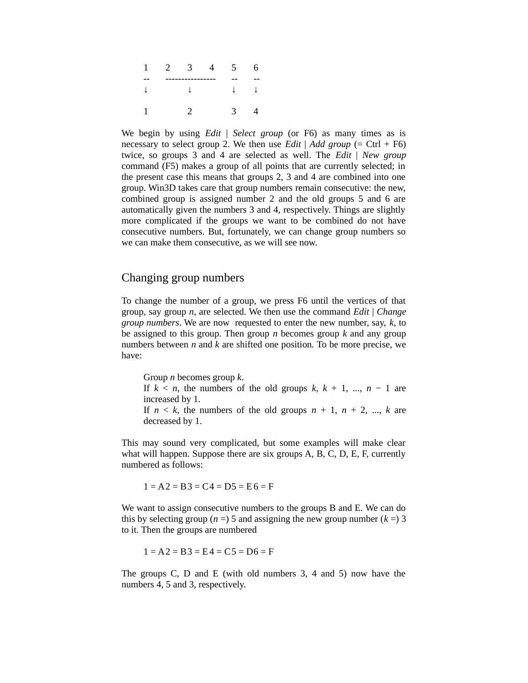| 1 | $2^{\circ}$ | 3 | 5 <sub>1</sub> | 6 |
|---|-------------|---|----------------|---|
|   |             |   |                |   |
|   |             |   |                |   |
|   |             |   | З.             |   |

We begin by using *Edit* | *Select group* (or F6) as many times as is necessary to select group 2. We then use *Edit* | *Add group* (= Ctrl + F6) twice, so groups 3 and 4 are selected as well. The *Edit* | *New group* command (F5) makes a group of all points that are currently selected; in the present case this means that groups 2, 3 and 4 are combined into one group. Win3D takes care that group numbers remain consecutive: the new, combined group is assigned number 2 and the old groups 5 and 6 are automatically given the numbers 3 and 4, respectively. Things are slightly more complicated if the groups we want to be combined do not have consecutive numbers. But, fortunately, we can change group numbers so we can make them consecutive, as we will see now.

#### Changing group numbers

To change the number of a group, we press F6 until the vertices of that group, say group *n*, are selected. We then use the command *Edit* | *Change group numbers*. We are now requested to enter the new number, say, *k*, to be assigned to this group. Then group *n* becomes group *k* and any group numbers between *n* and *k* are shifted one position. To be more precise, we have:

Group *n* becomes group *k*. If  $k < n$ , the numbers of the old groups  $k, k + 1, ..., n - 1$  are increased by 1. If  $n \leq k$ , the numbers of the old groups  $n + 1$ ,  $n + 2$ , ...,  $k$  are decreased by 1.

This may sound very complicated, but some examples will make clear what will happen. Suppose there are six groups A, B, C, D, E, F, currently numbered as follows:

 $1 = A2 = B3 = C4 = D5 = E6 = F$ 

We want to assign consecutive numbers to the groups B and E. We can do this by selecting group ( $n = 5$ ) and assigning the new group number ( $k = 3$ ) to it. Then the groups are numbered

 $1 = A2 = B3 = E4 = C5 = D6 = F$ 

The groups C, D and E (with old numbers 3, 4 and 5) now have the numbers 4, 5 and 3, respectively.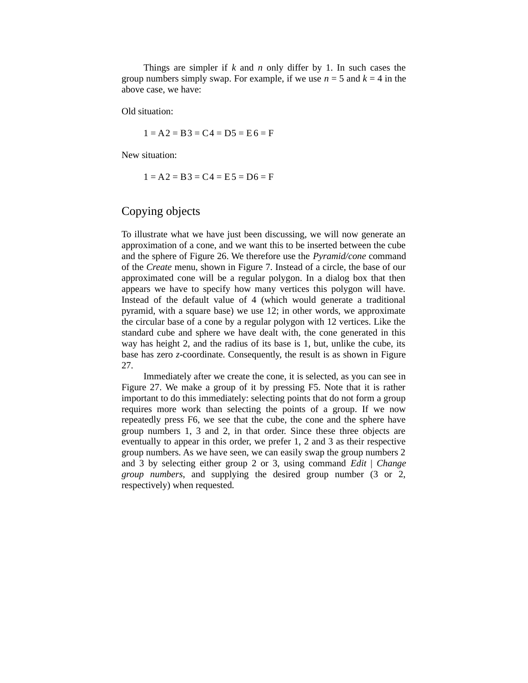Things are simpler if *k* and *n* only differ by 1. In such cases the group numbers simply swap. For example, if we use  $n = 5$  and  $k = 4$  in the above case, we have:

Old situation:

 $1 = A2 = B3 = C4 = D5 = E6 = F$ 

New situation:

 $1 = A2 = B3 = CA = E5 = D6 = F$ 

#### Copying objects

To illustrate what we have just been discussing, we will now generate an approximation of a cone, and we want this to be inserted between the cube and the sphere of Figure 26. We therefore use the *Pyramid/cone* command of the *Create* menu, shown in Figure 7. Instead of a circle, the base of our approximated cone will be a regular polygon. In a dialog box that then appears we have to specify how many vertices this polygon will have. Instead of the default value of 4 (which would generate a traditional pyramid, with a square base) we use 12; in other words, we approximate the circular base of a cone by a regular polygon with 12 vertices. Like the standard cube and sphere we have dealt with, the cone generated in this way has height 2, and the radius of its base is 1, but, unlike the cube, its base has zero *z*-coordinate. Consequently, the result is as shown in Figure 27.

Immediately after we create the cone, it is selected, as you can see in Figure 27. We make a group of it by pressing F5. Note that it is rather important to do this immediately: selecting points that do not form a group requires more work than selecting the points of a group. If we now repeatedly press F6, we see that the cube, the cone and the sphere have group numbers 1, 3 and 2, in that order. Since these three objects are eventually to appear in this order, we prefer 1, 2 and 3 as their respective group numbers. As we have seen, we can easily swap the group numbers 2 and 3 by selecting either group 2 or 3, using command *Edit* | *Change group numbers*, and supplying the desired group number (3 or 2, respectively) when requested.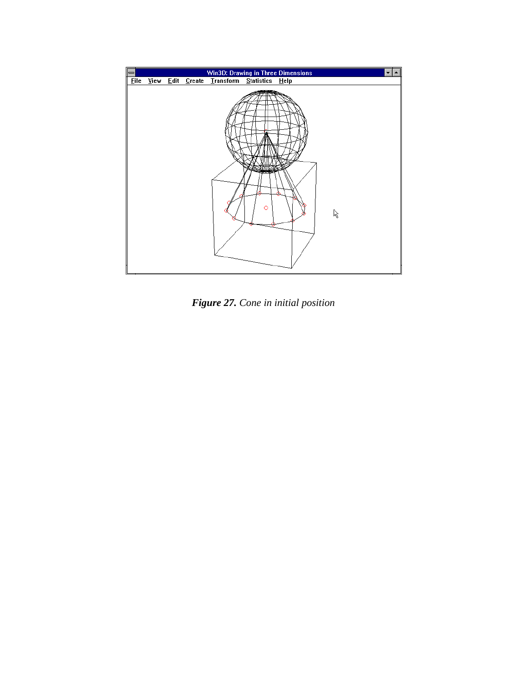

*Figure 27. Cone in initial position*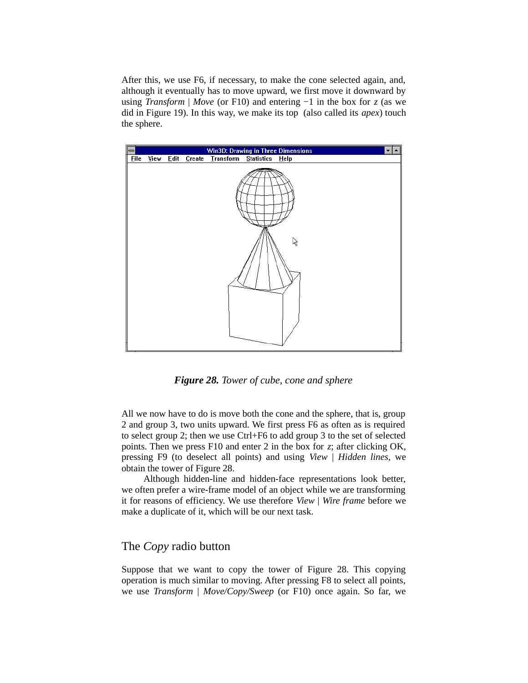After this, we use F6, if necessary, to make the cone selected again, and, although it eventually has to move upward, we first move it downward by using *Transform* | *Move* (or F10) and entering −1 in the box for *z* (as we did in Figure 19). In this way, we make its top (also called its *apex*) touch the sphere.



*Figure 28. Tower of cube, cone and sphere*

All we now have to do is move both the cone and the sphere, that is, group 2 and group 3, two units upward. We first press F6 as often as is required to select group 2; then we use Ctrl+F6 to add group 3 to the set of selected points. Then we press F10 and enter 2 in the box for *z*; after clicking OK, pressing F9 (to deselect all points) and using *View* | *Hidden lines*, we obtain the tower of Figure 28.

Although hidden-line and hidden-face representations look better, we often prefer a wire-frame model of an object while we are transforming it for reasons of efficiency. We use therefore *View* | *Wire frame* before we make a duplicate of it, which will be our next task.

#### The *Copy* radio button

Suppose that we want to copy the tower of Figure 28. This copying operation is much similar to moving. After pressing F8 to select all points, we use *Transform* | *Move/Copy/Sweep* (or F10) once again. So far, we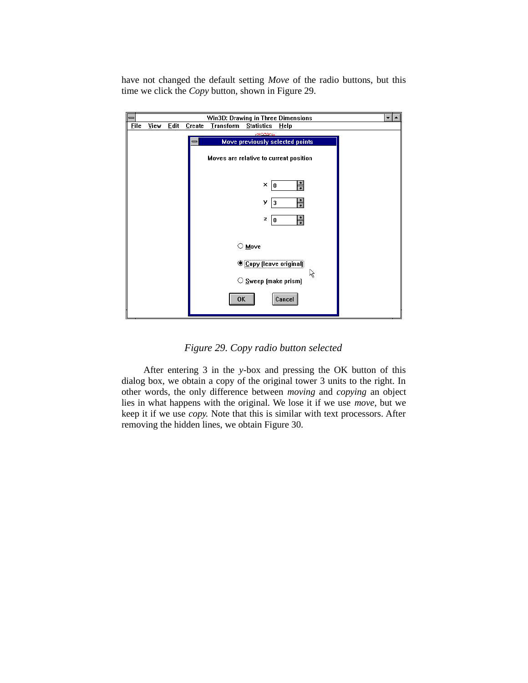have not changed the default setting *Move* of the radio buttons, but this time we click the *Copy* button, shown in Figure 29.

|             |      |      |        | Win3D: Drawing in Three Dimensions     |                            |                                 |    | $\overline{\phantom{a}}$ |
|-------------|------|------|--------|----------------------------------------|----------------------------|---------------------------------|----|--------------------------|
| <b>Eile</b> | View | Edit | Create | <b>Transform</b>                       | <b>Statistics</b>          | Help                            |    |                          |
|             |      |      |        |                                        |                            |                                 |    |                          |
|             |      |      |        |                                        |                            | Move previously selected points |    |                          |
|             |      |      |        | Moves are relative to current position |                            |                                 |    |                          |
|             |      |      |        |                                        | ×<br>0                     | ≑                               |    |                          |
|             |      |      |        |                                        | У<br>3                     |                                 |    |                          |
|             |      |      |        |                                        | z<br>0                     | $\frac{1}{\ast}$                |    |                          |
|             |      |      |        |                                        | $\circ$ Move               |                                 |    |                          |
|             |      |      |        |                                        | ◉ Copy (leave original)    |                                 |    |                          |
|             |      |      |        |                                        | $\circ$ Sweep (make prism) |                                 | ١Ķ |                          |
|             |      |      |        | <b>OK</b>                              |                            | Cancel                          |    |                          |

*Figure 29. Copy radio button selected*

After entering 3 in the *y*-box and pressing the OK button of this dialog box, we obtain a copy of the original tower 3 units to the right. In other words, the only difference between *moving* and *copying* an object lies in what happens with the original. We lose it if we use *move*, but we keep it if we use *copy.* Note that this is similar with text processors. After removing the hidden lines, we obtain Figure 30.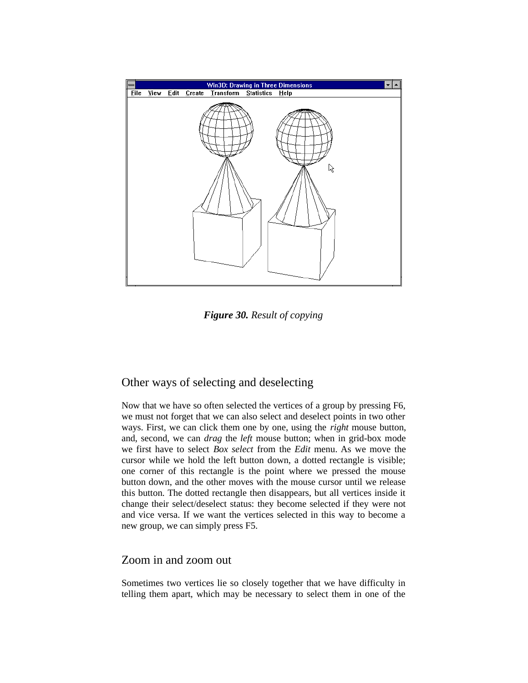

*Figure 30. Result of copying*

#### Other ways of selecting and deselecting

Now that we have so often selected the vertices of a group by pressing F6, we must not forget that we can also select and deselect points in two other ways. First, we can click them one by one, using the *right* mouse button, and, second, we can *drag* the *left* mouse button; when in grid-box mode we first have to select *Box select* from the *Edit* menu. As we move the cursor while we hold the left button down, a dotted rectangle is visible; one corner of this rectangle is the point where we pressed the mouse button down, and the other moves with the mouse cursor until we release this button. The dotted rectangle then disappears, but all vertices inside it change their select/deselect status: they become selected if they were not and vice versa. If we want the vertices selected in this way to become a new group, we can simply press F5.

#### Zoom in and zoom out

Sometimes two vertices lie so closely together that we have difficulty in telling them apart, which may be necessary to select them in one of the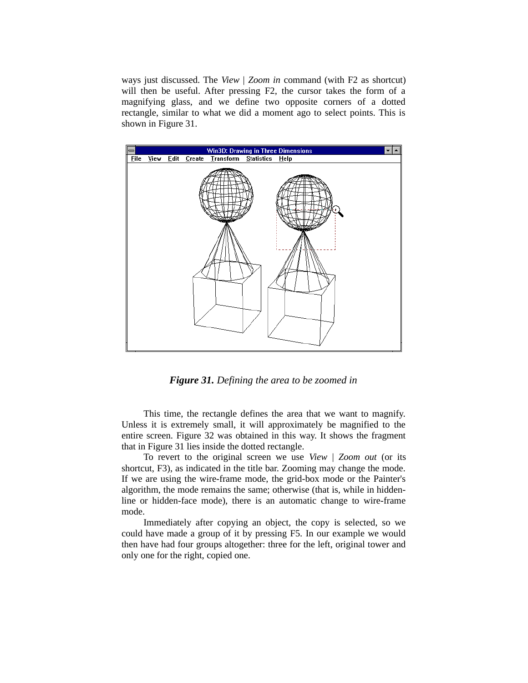ways just discussed. The *View* | *Zoom in* command (with F2 as shortcut) will then be useful. After pressing F2, the cursor takes the form of a magnifying glass, and we define two opposite corners of a dotted rectangle, similar to what we did a moment ago to select points. This is shown in Figure 31.



*Figure 31. Defining the area to be zoomed in*

This time, the rectangle defines the area that we want to magnify. Unless it is extremely small, it will approximately be magnified to the entire screen. Figure 32 was obtained in this way. It shows the fragment that in Figure 31 lies inside the dotted rectangle.

To revert to the original screen we use *View* | *Zoom out* (or its shortcut, F3), as indicated in the title bar. Zooming may change the mode. If we are using the wire-frame mode, the grid-box mode or the Painter's algorithm, the mode remains the same; otherwise (that is, while in hiddenline or hidden-face mode), there is an automatic change to wire-frame mode.

Immediately after copying an object, the copy is selected, so we could have made a group of it by pressing F5. In our example we would then have had four groups altogether: three for the left, original tower and only one for the right, copied one.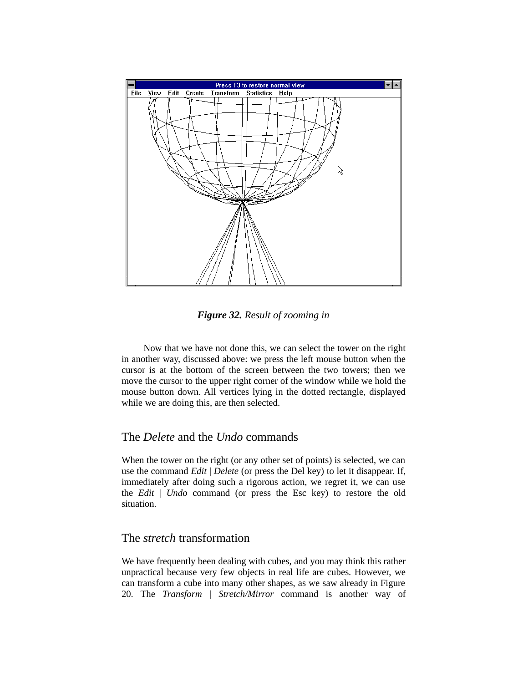

*Figure 32. Result of zooming in*

Now that we have not done this, we can select the tower on the right in another way, discussed above: we press the left mouse button when the cursor is at the bottom of the screen between the two towers; then we move the cursor to the upper right corner of the window while we hold the mouse button down. All vertices lying in the dotted rectangle, displayed while we are doing this, are then selected.

#### The *Delete* and the *Undo* commands

When the tower on the right (or any other set of points) is selected, we can use the command *Edit* | *Delete* (or press the Del key) to let it disappear. If, immediately after doing such a rigorous action, we regret it, we can use the *Edit* | *Undo* command (or press the Esc key) to restore the old situation.

#### The *stretch* transformation

We have frequently been dealing with cubes, and you may think this rather unpractical because very few objects in real life are cubes. However, we can transform a cube into many other shapes, as we saw already in Figure 20. The *Transform* | *Stretch/Mirror* command is another way of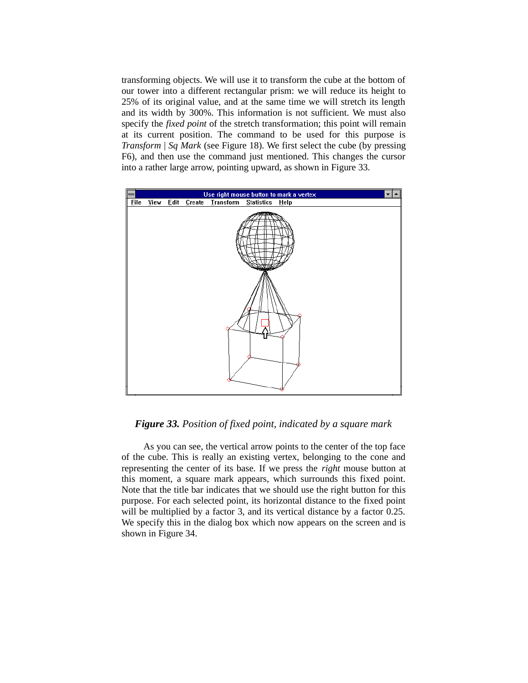transforming objects. We will use it to transform the cube at the bottom of our tower into a different rectangular prism: we will reduce its height to 25% of its original value, and at the same time we will stretch its length and its width by 300%. This information is not sufficient. We must also specify the *fixed point* of the stretch transformation; this point will remain at its current position. The command to be used for this purpose is *Transform* | *Sq Mark* (see Figure 18). We first select the cube (by pressing F6), and then use the command just mentioned. This changes the cursor into a rather large arrow, pointing upward, as shown in Figure 33.



#### *Figure 33. Position of fixed point, indicated by a square mark*

As you can see, the vertical arrow points to the center of the top face of the cube. This is really an existing vertex, belonging to the cone and representing the center of its base. If we press the *right* mouse button at this moment, a square mark appears, which surrounds this fixed point. Note that the title bar indicates that we should use the right button for this purpose. For each selected point, its horizontal distance to the fixed point will be multiplied by a factor 3, and its vertical distance by a factor 0.25. We specify this in the dialog box which now appears on the screen and is shown in Figure 34.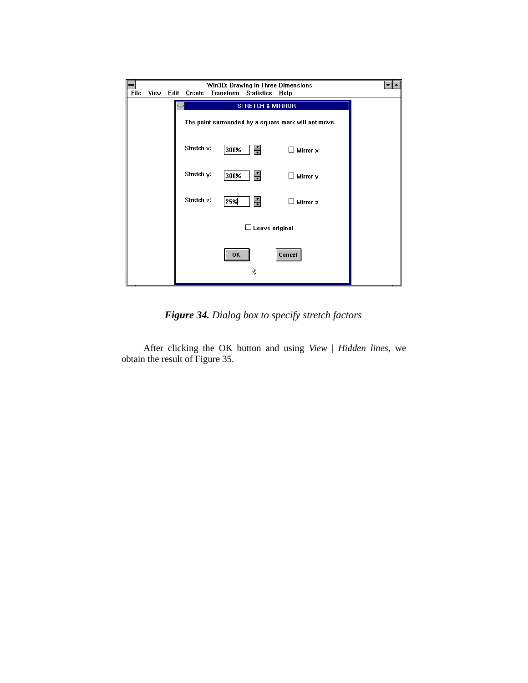| Win3D: Drawing in Three Dimensions<br>$\overline{\phantom{a}}$<br>— |                                                      |              |            |                                       |                           |  |  |  |  |
|---------------------------------------------------------------------|------------------------------------------------------|--------------|------------|---------------------------------------|---------------------------|--|--|--|--|
| <b>File</b>                                                         | View                                                 | <b>Edit</b>  | Create     | <b>Iransform</b><br><b>Statistics</b> | Help                      |  |  |  |  |
|                                                                     | <b>STRETCH &amp; MIRROR</b><br>═                     |              |            |                                       |                           |  |  |  |  |
|                                                                     | The point surrounded by a square mark will not move. |              |            |                                       |                           |  |  |  |  |
|                                                                     |                                                      |              | Stretch x: | $\frac{1}{1}$<br>300%                 | $\square$ Mirror $\times$ |  |  |  |  |
|                                                                     |                                                      |              | Stretch y: | 릨<br>300%                             | $\square$ Mirror y        |  |  |  |  |
|                                                                     |                                                      |              | Stretch z: | 릨<br>25%                              | $\square$ Mirror z        |  |  |  |  |
|                                                                     | $\Box$ Leave original                                |              |            |                                       |                           |  |  |  |  |
|                                                                     |                                                      | Cancel<br>0K |            |                                       |                           |  |  |  |  |

*Figure 34. Dialog box to specify stretch factors*

After clicking the OK button and using *View* | *Hidden lines*, we obtain the result of Figure 35.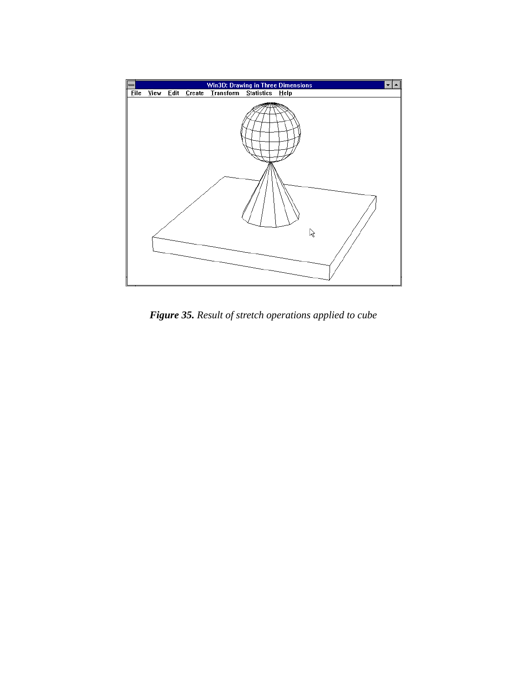

*Figure 35. Result of stretch operations applied to cube*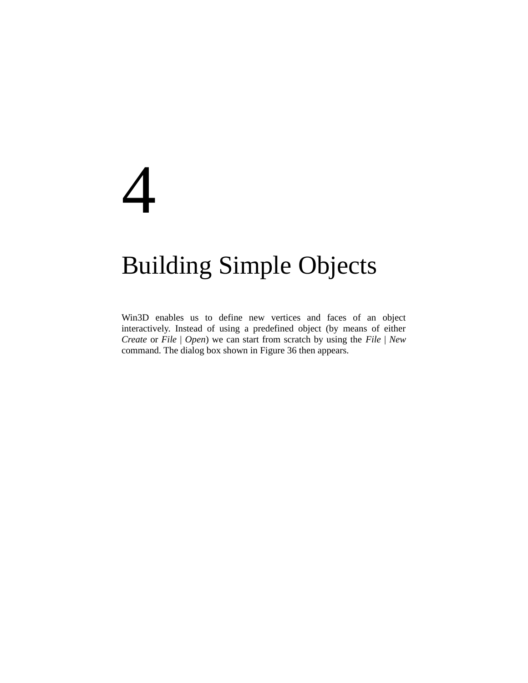# 4

### Building Simple Objects

Win3D enables us to define new vertices and faces of an object interactively. Instead of using a predefined object (by means of either *Create* or *File* | *Open*) we can start from scratch by using the *File* | *New* command. The dialog box shown in Figure 36 then appears.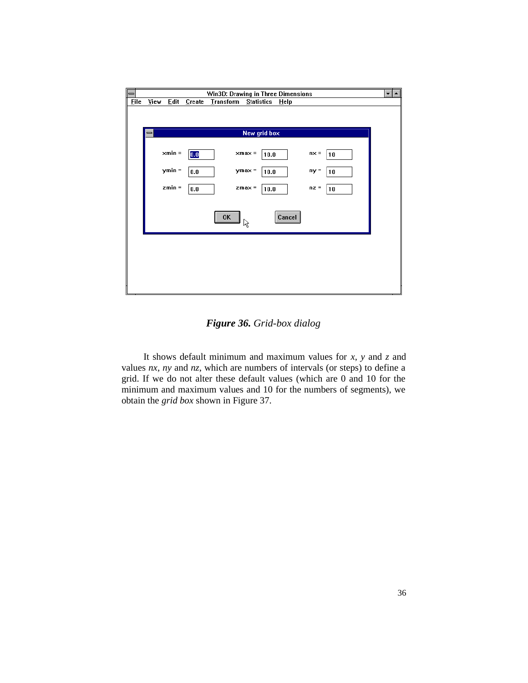

*Figure 36. Grid-box dialog*

It shows default minimum and maximum values for *x*, *y* and *z* and values *nx*, *ny* and *nz*, which are numbers of intervals (or steps) to define a grid. If we do not alter these default values (which are 0 and 10 for the minimum and maximum values and 10 for the numbers of segments), we obtain the *grid box* shown in Figure 37.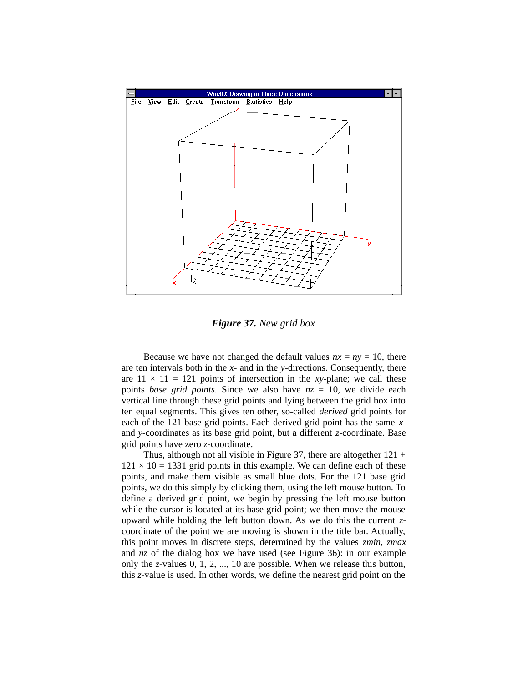

*Figure 37. New grid box*

Because we have not changed the default values  $nx = ny = 10$ , there are ten intervals both in the *x-* and in the *y*-directions. Consequently, there are  $11 \times 11 = 121$  points of intersection in the *xy*-plane; we call these points *base grid points*. Since we also have *nz* = 10, we divide each vertical line through these grid points and lying between the grid box into ten equal segments. This gives ten other, so-called *derived* grid points for each of the 121 base grid points. Each derived grid point has the same *x*and *y*-coordinates as its base grid point, but a different *z*-coordinate. Base grid points have zero *z*-coordinate.

Thus, although not all visible in Figure 37, there are altogether  $121 +$  $121 \times 10 = 1331$  grid points in this example. We can define each of these points, and make them visible as small blue dots. For the 121 base grid points, we do this simply by clicking them, using the left mouse button. To define a derived grid point, we begin by pressing the left mouse button while the cursor is located at its base grid point; we then move the mouse upward while holding the left button down. As we do this the current *z*coordinate of the point we are moving is shown in the title bar. Actually, this point moves in discrete steps, determined by the values *zmin*, *zmax* and *nz* of the dialog box we have used (see Figure 36): in our example only the *z*-values 0, 1, 2, ..., 10 are possible. When we release this button, this *z*-value is used. In other words, we define the nearest grid point on the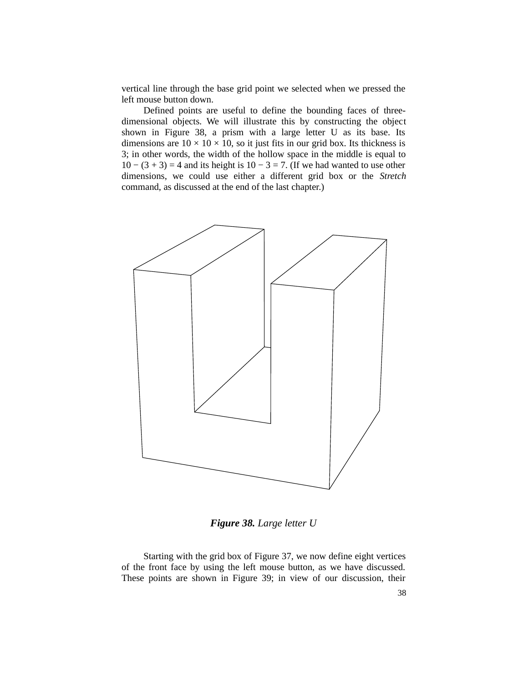vertical line through the base grid point we selected when we pressed the left mouse button down.

Defined points are useful to define the bounding faces of threedimensional objects. We will illustrate this by constructing the object shown in Figure 38, a prism with a large letter U as its base. Its dimensions are  $10 \times 10 \times 10$ , so it just fits in our grid box. Its thickness is 3; in other words, the width of the hollow space in the middle is equal to  $10 - (3 + 3) = 4$  and its height is  $10 - 3 = 7$ . (If we had wanted to use other dimensions, we could use either a different grid box or the *Stretch* command, as discussed at the end of the last chapter.)



*Figure 38. Large letter U*

Starting with the grid box of Figure 37, we now define eight vertices of the front face by using the left mouse button, as we have discussed. These points are shown in Figure 39; in view of our discussion, their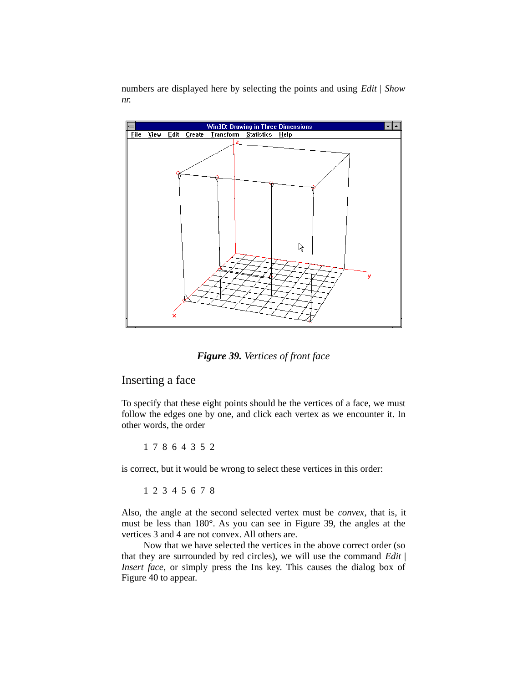numbers are displayed here by selecting the points and using *Edit* | *Show nr.*



*Figure 39. Vertices of front face*

#### Inserting a face

To specify that these eight points should be the vertices of a face, we must follow the edges one by one, and click each vertex as we encounter it. In other words, the order

1 7 8 6 4 3 5 2

is correct, but it would be wrong to select these vertices in this order:

1 2 3 4 5 6 7 8

Also, the angle at the second selected vertex must be *convex*, that is, it must be less than 180°. As you can see in Figure 39, the angles at the vertices 3 and 4 are not convex. All others are.

Now that we have selected the vertices in the above correct order (so that they are surrounded by red circles), we will use the command *Edit* | *Insert face*, or simply press the Ins key. This causes the dialog box of Figure 40 to appear.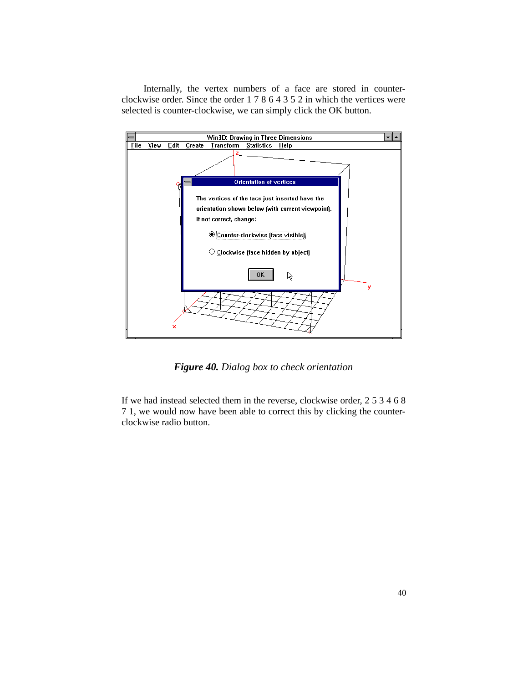Internally, the vertex numbers of a face are stored in counterclockwise order. Since the order 1 7 8 6 4 3 5 2 in which the vertices were selected is counter-clockwise, we can simply click the OK button.



*Figure 40. Dialog box to check orientation*

If we had instead selected them in the reverse, clockwise order, 2 5 3 4 6 8 7 1, we would now have been able to correct this by clicking the counterclockwise radio button.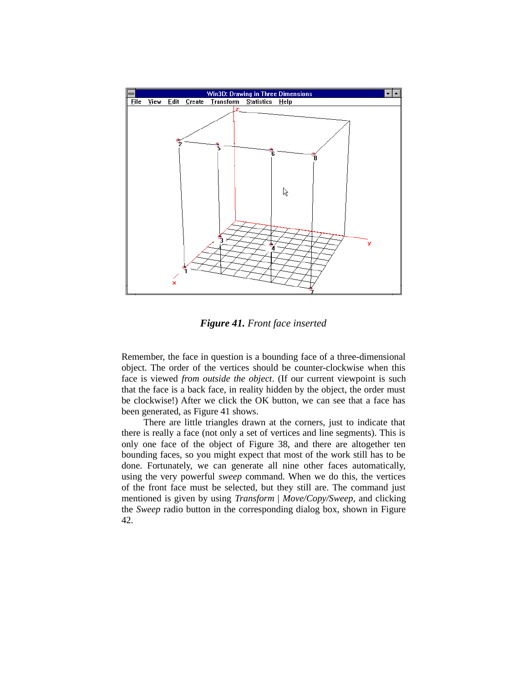

*Figure 41. Front face inserted*

Remember, the face in question is a bounding face of a three-dimensional object. The order of the vertices should be counter-clockwise when this face is viewed *from outside the object*. (If our current viewpoint is such that the face is a back face, in reality hidden by the object, the order must be clockwise!) After we click the OK button, we can see that a face has been generated, as Figure 41 shows.

There are little triangles drawn at the corners, just to indicate that there is really a face (not only a set of vertices and line segments). This is only one face of the object of Figure 38, and there are altogether ten bounding faces, so you might expect that most of the work still has to be done. Fortunately, we can generate all nine other faces automatically, using the very powerful *sweep* command. When we do this, the vertices of the front face must be selected, but they still are. The command just mentioned is given by using *Transform* | *Move/Copy/Sweep*, and clicking the *Sweep* radio button in the corresponding dialog box, shown in Figure 42.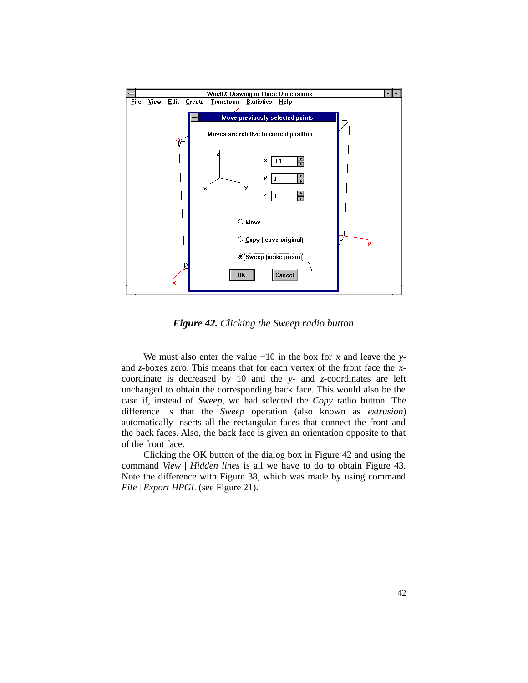

*Figure 42. Clicking the Sweep radio button*

We must also enter the value −10 in the box for *x* and leave the *y*and *z-*boxes zero. This means that for each vertex of the front face the *x*coordinate is decreased by 10 and the *y-* and *z-*coordinates are left unchanged to obtain the corresponding back face. This would also be the case if, instead of *Sweep*, we had selected the *Copy* radio button. The difference is that the *Sweep* operation (also known as *extrusion*) automatically inserts all the rectangular faces that connect the front and the back faces. Also, the back face is given an orientation opposite to that of the front face.

Clicking the OK button of the dialog box in Figure 42 and using the command *View* | *Hidden lines* is all we have to do to obtain Figure 43. Note the difference with Figure 38, which was made by using command *File* | *Export HPGL* (see Figure 21).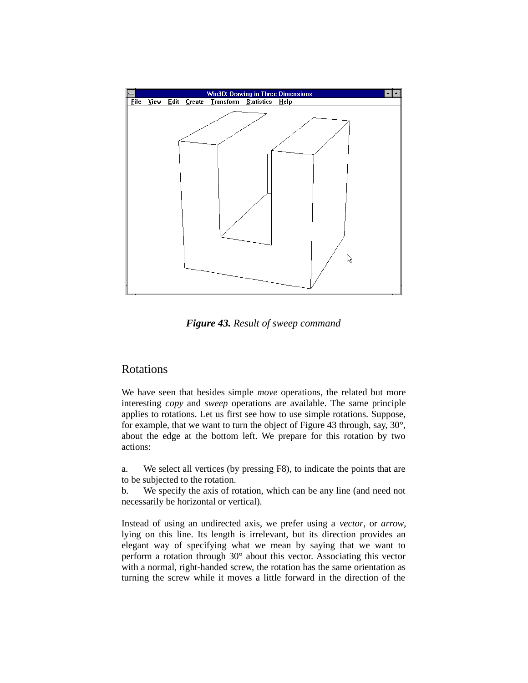

*Figure 43. Result of sweep command*

#### **Rotations**

We have seen that besides simple *move* operations, the related but more interesting *copy* and *sweep* operations are available. The same principle applies to rotations. Let us first see how to use simple rotations. Suppose, for example, that we want to turn the object of Figure 43 through, say, 30°, about the edge at the bottom left. We prepare for this rotation by two actions:

a. We select all vertices (by pressing F8), to indicate the points that are to be subjected to the rotation.

b. We specify the axis of rotation, which can be any line (and need not necessarily be horizontal or vertical).

Instead of using an undirected axis, we prefer using a *vector*, or *arrow*, lying on this line. Its length is irrelevant, but its direction provides an elegant way of specifying what we mean by saying that we want to perform a rotation through 30° about this vector. Associating this vector with a normal, right-handed screw, the rotation has the same orientation as turning the screw while it moves a little forward in the direction of the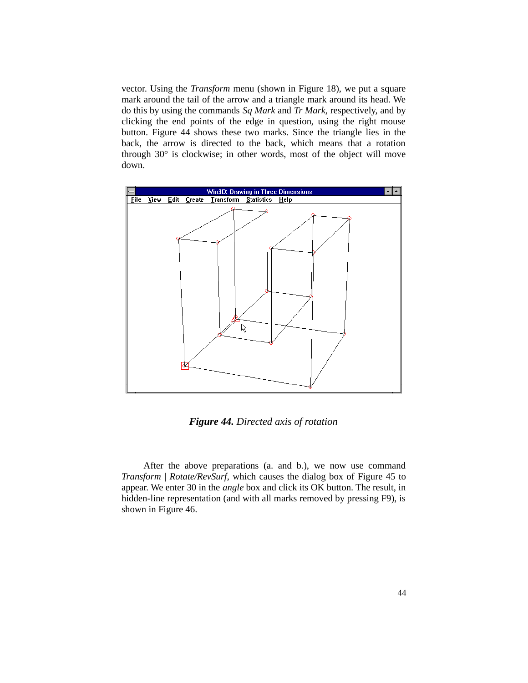vector. Using the *Transform* menu (shown in Figure 18), we put a square mark around the tail of the arrow and a triangle mark around its head. We do this by using the commands *Sq Mark* and *Tr Mark*, respectively, and by clicking the end points of the edge in question, using the right mouse button. Figure 44 shows these two marks. Since the triangle lies in the back, the arrow is directed to the back, which means that a rotation through 30° is clockwise; in other words, most of the object will move down.



*Figure 44. Directed axis of rotation*

After the above preparations (a. and b.), we now use command *Transform* | *Rotate/RevSurf*, which causes the dialog box of Figure 45 to appear. We enter 30 in the *angle* box and click its OK button. The result, in hidden-line representation (and with all marks removed by pressing F9), is shown in Figure 46.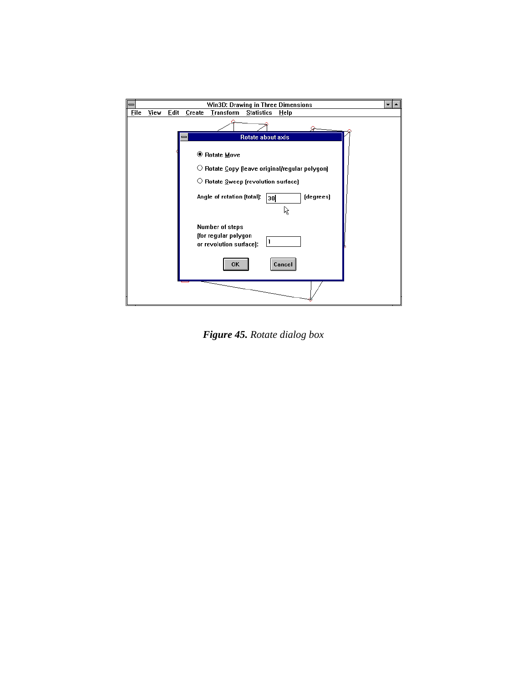

*Figure 45. Rotate dialog box*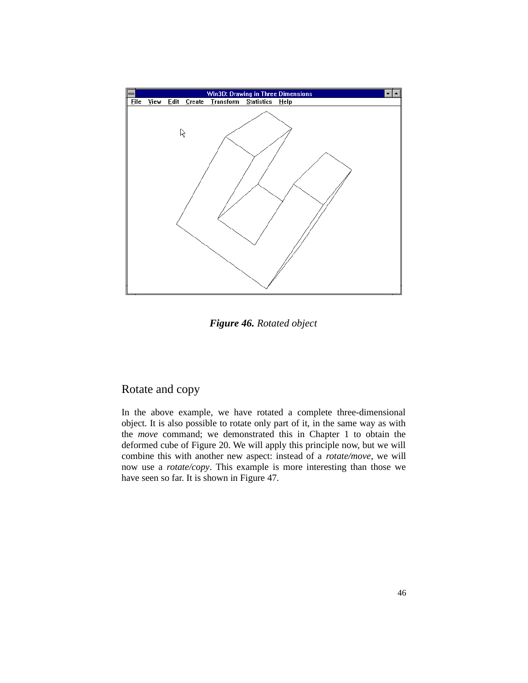

*Figure 46. Rotated object*

#### Rotate and copy

In the above example, we have rotated a complete three-dimensional object. It is also possible to rotate only part of it, in the same way as with the *move* command; we demonstrated this in Chapter 1 to obtain the deformed cube of Figure 20. We will apply this principle now, but we will combine this with another new aspect: instead of a *rotate/move*, we will now use a *rotate/copy*. This example is more interesting than those we have seen so far. It is shown in Figure 47.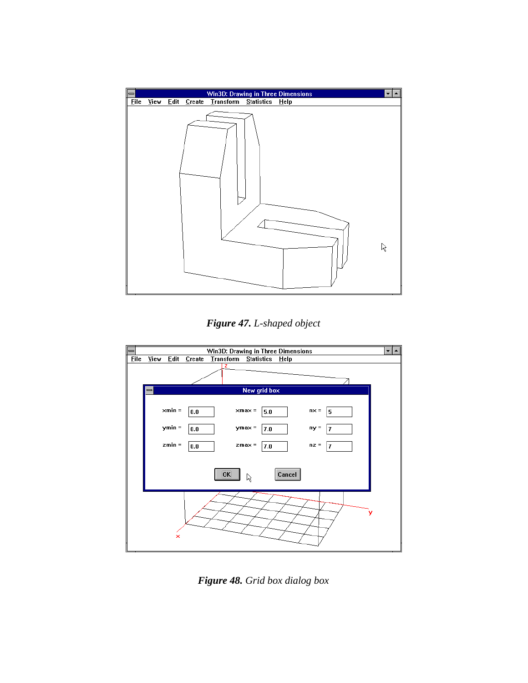

*Figure 47. L-shaped object*



*Figure 48. Grid box dialog box*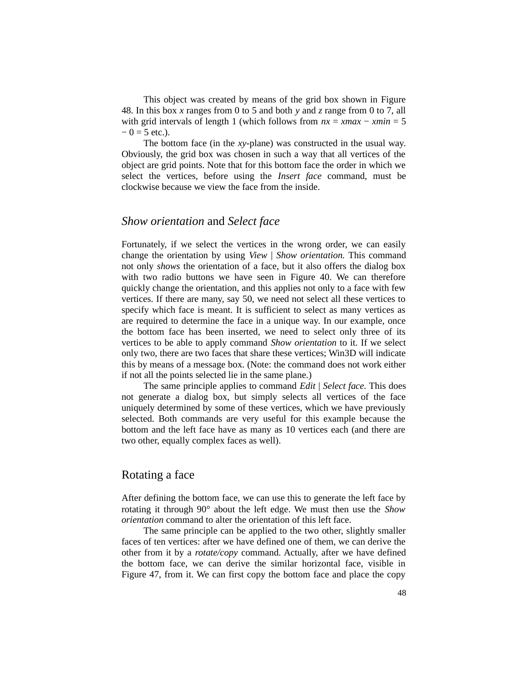This object was created by means of the grid box shown in Figure 48. In this box *x* ranges from 0 to 5 and both *y* and *z* range from 0 to 7, all with grid intervals of length 1 (which follows from *nx* = *xmax* − *xmin* = 5  $-0 = 5$  etc.).

The bottom face (in the *xy*-plane) was constructed in the usual way. Obviously, the grid box was chosen in such a way that all vertices of the object are grid points. Note that for this bottom face the order in which we select the vertices, before using the *Insert face* command, must be clockwise because we view the face from the inside.

#### *Show orientation* and *Select face*

Fortunately, if we select the vertices in the wrong order, we can easily change the orientation by using *View* | *Show orientation.* This command not only *shows* the orientation of a face, but it also offers the dialog box with two radio buttons we have seen in Figure 40. We can therefore quickly change the orientation, and this applies not only to a face with few vertices. If there are many, say 50, we need not select all these vertices to specify which face is meant. It is sufficient to select as many vertices as are required to determine the face in a unique way. In our example, once the bottom face has been inserted, we need to select only three of its vertices to be able to apply command *Show orientation* to it. If we select only two, there are two faces that share these vertices; Win3D will indicate this by means of a message box. (Note: the command does not work either if not all the points selected lie in the same plane.)

The same principle applies to command *Edit* | *Select face.* This does not generate a dialog box, but simply selects all vertices of the face uniquely determined by some of these vertices, which we have previously selected. Both commands are very useful for this example because the bottom and the left face have as many as 10 vertices each (and there are two other, equally complex faces as well).

#### Rotating a face

After defining the bottom face, we can use this to generate the left face by rotating it through 90° about the left edge. We must then use the *Show orientation* command to alter the orientation of this left face.

The same principle can be applied to the two other, slightly smaller faces of ten vertices: after we have defined one of them, we can derive the other from it by a *rotate/copy* command. Actually, after we have defined the bottom face, we can derive the similar horizontal face, visible in Figure 47, from it. We can first copy the bottom face and place the copy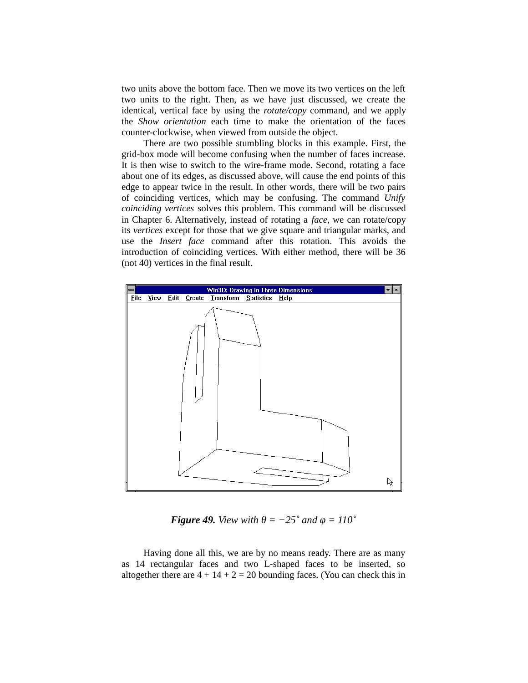two units above the bottom face. Then we move its two vertices on the left two units to the right. Then, as we have just discussed, we create the identical, vertical face by using the *rotate/copy* command, and we apply the *Show orientation* each time to make the orientation of the faces counter-clockwise, when viewed from outside the object.

There are two possible stumbling blocks in this example. First, the grid-box mode will become confusing when the number of faces increase. It is then wise to switch to the wire-frame mode. Second, rotating a face about one of its edges, as discussed above, will cause the end points of this edge to appear twice in the result. In other words, there will be two pairs of coinciding vertices, which may be confusing. The command *Unify coinciding vertices* solves this problem. This command will be discussed in Chapter 6. Alternatively, instead of rotating a *face*, we can rotate/copy its *vertices* except for those that we give square and triangular marks, and use the *Insert face* command after this rotation. This avoids the introduction of coinciding vertices. With either method, there will be 36 (not 40) vertices in the final result.



*Figure 49. View with*  $\theta = -25^{\circ}$  *and*  $\phi = 110^{\circ}$ 

Having done all this, we are by no means ready. There are as many as 14 rectangular faces and two L-shaped faces to be inserted, so altogether there are  $4 + 14 + 2 = 20$  bounding faces. (You can check this in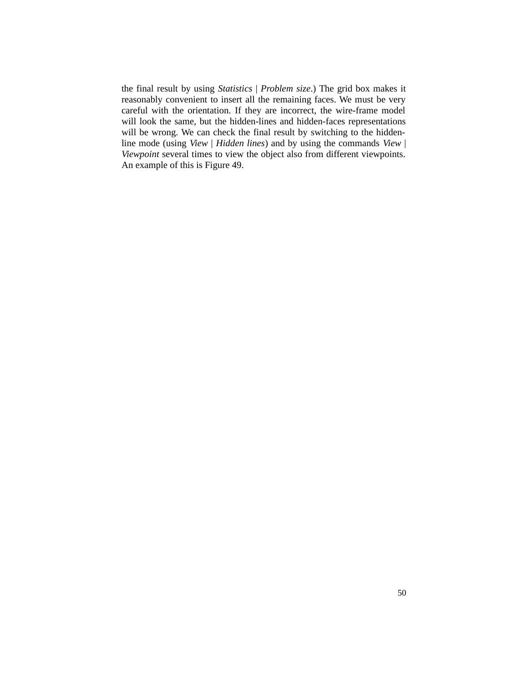the final result by using *Statistics* | *Problem size*.) The grid box makes it reasonably convenient to insert all the remaining faces. We must be very careful with the orientation. If they are incorrect, the wire-frame model will look the same, but the hidden-lines and hidden-faces representations will be wrong. We can check the final result by switching to the hiddenline mode (using *View* | *Hidden lines*) and by using the commands *View* | *Viewpoint* several times to view the object also from different viewpoints. An example of this is Figure 49.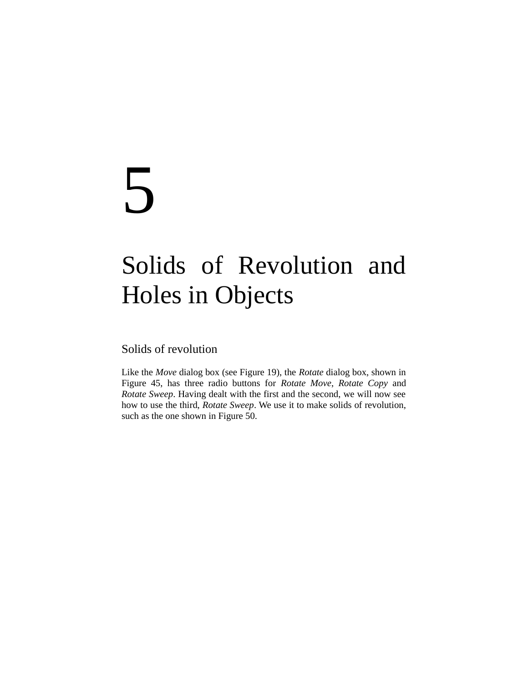## 5

## Solids of Revolution and Holes in Objects

Solids of revolution

Like the *Move* dialog box (see Figure 19), the *Rotate* dialog box, shown in Figure 45, has three radio buttons for *Rotate Move*, *Rotate Copy* and *Rotate Sweep*. Having dealt with the first and the second, we will now see how to use the third, *Rotate Sweep*. We use it to make solids of revolution, such as the one shown in Figure 50.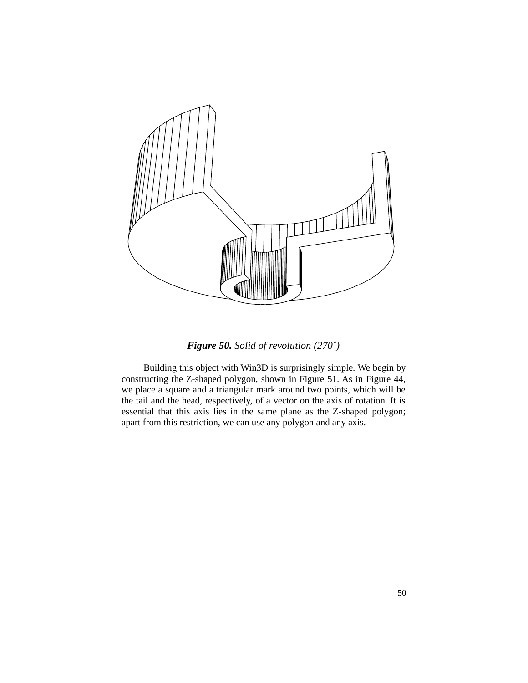

*Figure 50. Solid of revolution (270˚)*

Building this object with Win3D is surprisingly simple. We begin by constructing the Z-shaped polygon, shown in Figure 51. As in Figure 44, we place a square and a triangular mark around two points, which will be the tail and the head, respectively, of a vector on the axis of rotation. It is essential that this axis lies in the same plane as the Z-shaped polygon; apart from this restriction, we can use any polygon and any axis.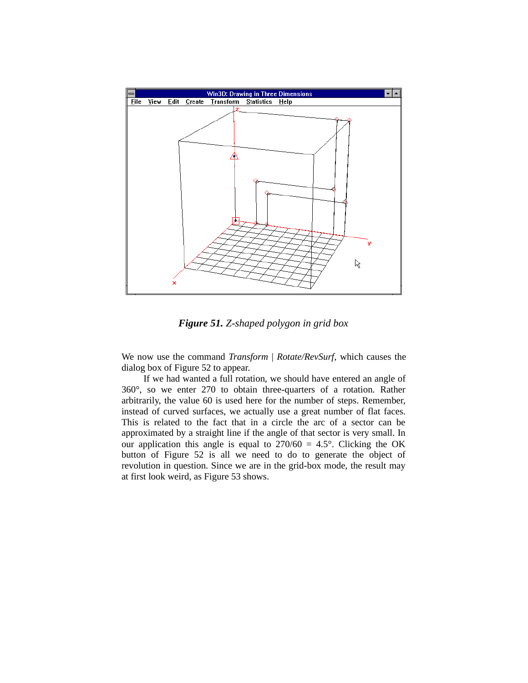

*Figure 51. Z-shaped polygon in grid box*

We now use the command *Transform* | *Rotate/RevSurf*, which causes the dialog box of Figure 52 to appear.

If we had wanted a full rotation, we should have entered an angle of 360°, so we enter 270 to obtain three-quarters of a rotation. Rather arbitrarily, the value 60 is used here for the number of steps. Remember, instead of curved surfaces, we actually use a great number of flat faces. This is related to the fact that in a circle the arc of a sector can be approximated by a straight line if the angle of that sector is very small. In our application this angle is equal to  $270/60 = 4.5^{\circ}$ . Clicking the OK button of Figure 52 is all we need to do to generate the object of revolution in question. Since we are in the grid-box mode, the result may at first look weird, as Figure 53 shows.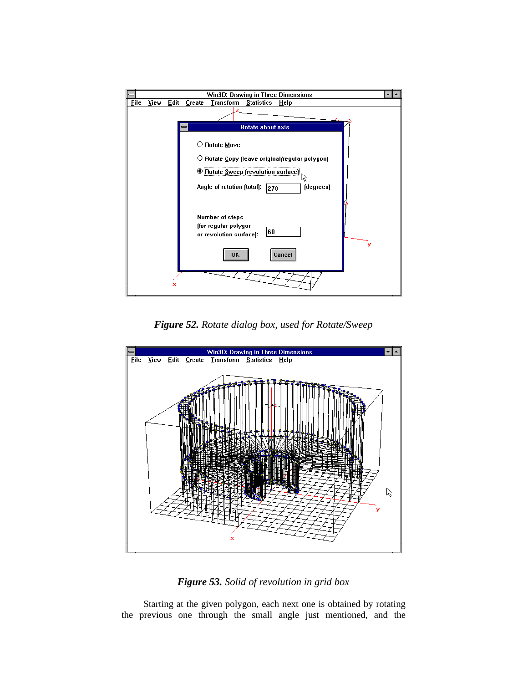

*Figure 52. Rotate dialog box, used for Rotate/Sweep*



#### *Figure 53. Solid of revolution in grid box*

Starting at the given polygon, each next one is obtained by rotating the previous one through the small angle just mentioned, and the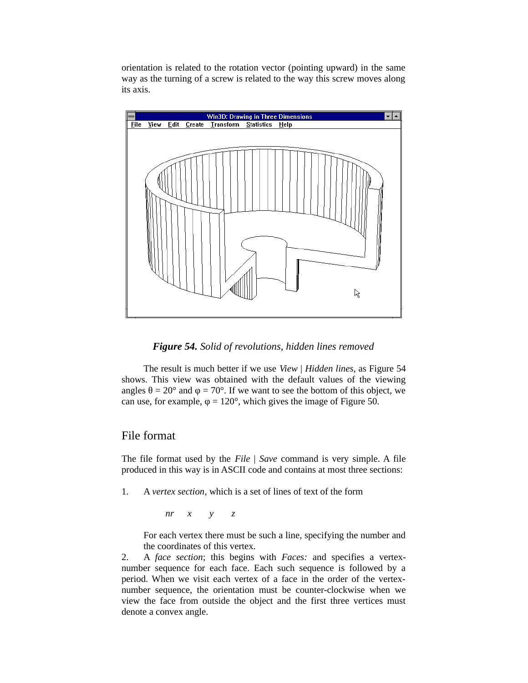orientation is related to the rotation vector (pointing upward) in the same way as the turning of a screw is related to the way this screw moves along its axis.



#### *Figure 54. Solid of revolutions, hidden lines removed*

The result is much better if we use *View* | *Hidden lines*, as Figure 54 shows. This view was obtained with the default values of the viewing angles  $\theta = 20^{\circ}$  and  $\varphi = 70^{\circ}$ . If we want to see the bottom of this object, we can use, for example,  $\varphi = 120^{\circ}$ , which gives the image of Figure 50.

#### File format

The file format used by the *File* | *Save* command is very simple. A file produced in this way is in ASCII code and contains at most three sections:

1. A *vertex section*, which is a set of lines of text of the form

*nr x y z*

For each vertex there must be such a line, specifying the number and the coordinates of this vertex.

2. A *face section*; this begins with *Faces:* and specifies a vertexnumber sequence for each face. Each such sequence is followed by a period. When we visit each vertex of a face in the order of the vertexnumber sequence, the orientation must be counter-clockwise when we view the face from outside the object and the first three vertices must denote a convex angle.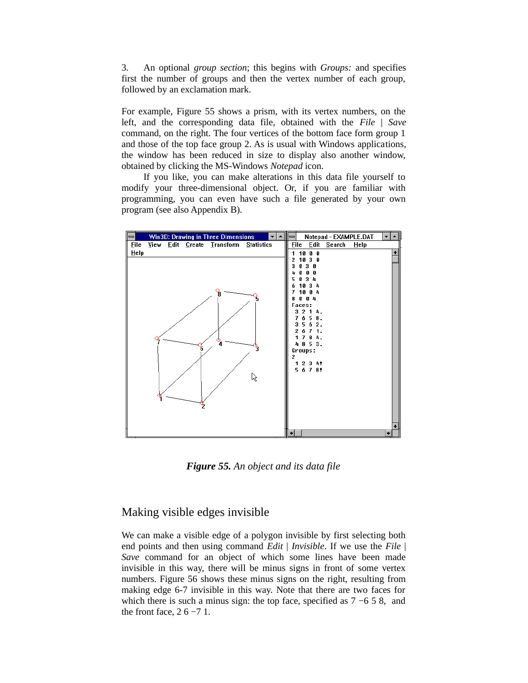3. An optional *group section*; this begins with *Groups:* and specifies first the number of groups and then the vertex number of each group, followed by an exclamation mark.

For example, Figure 55 shows a prism, with its vertex numbers, on the left, and the corresponding data file, obtained with the *File* | *Save* command, on the right. The four vertices of the bottom face form group 1 and those of the top face group 2. As is usual with Windows applications, the window has been reduced in size to display also another window, obtained by clicking the MS-Windows *Notepad* icon.

If you like, you can make alterations in this data file yourself to modify your three-dimensional object. Or, if you are familiar with programming, you can even have such a file generated by your own program (see also Appendix B).



*Figure 55. An object and its data file*

#### Making visible edges invisible

We can make a visible edge of a polygon invisible by first selecting both end points and then using command *Edit* | *Invisible*. If we use the *File* | *Save* command for an object of which some lines have been made invisible in this way, there will be minus signs in front of some vertex numbers. Figure 56 shows these minus signs on the right, resulting from making edge 6-7 invisible in this way. Note that there are two faces for which there is such a minus sign: the top face, specified as  $7 - 658$ , and the front face,  $26 - 71$ .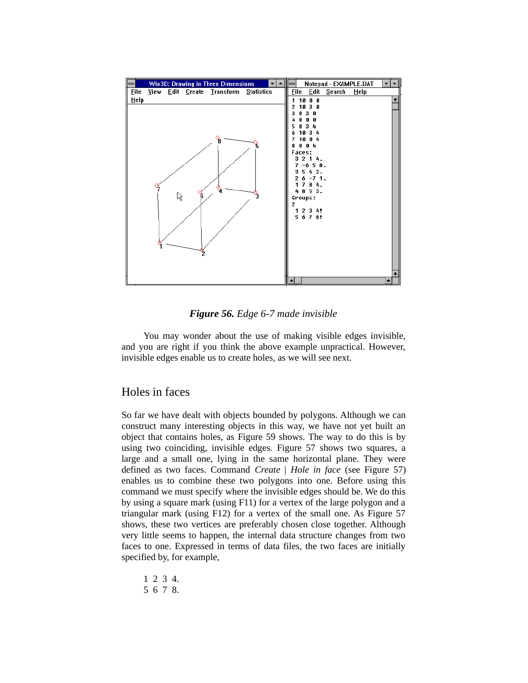| Win3D: Drawing in Three Dimensions<br>$\equiv$ |  |   |  |                                       |  |  | Notepad - EXAMPLE.DAT<br>$=$ |                        |        |      |  |
|------------------------------------------------|--|---|--|---------------------------------------|--|--|------------------------------|------------------------|--------|------|--|
| <b>File</b>                                    |  |   |  | View Edit Create Transform Statistics |  |  | <b>File</b>                  | Edit                   | Search | HeIp |  |
| Help                                           |  |   |  |                                       |  |  | 1.                           | 10 0 0                 |        |      |  |
|                                                |  |   |  |                                       |  |  | 2<br>Ø                       | 1030<br>3 <sub>0</sub> |        |      |  |
|                                                |  |   |  |                                       |  |  |                              | Ø<br>Ø                 |        |      |  |
|                                                |  |   |  |                                       |  |  |                              | 4<br>я                 |        |      |  |
|                                                |  |   |  |                                       |  |  |                              | 10 3 4<br>10 0 4       |        |      |  |
|                                                |  |   |  | $^{\circ}$                            |  |  | я                            | $0 \t0 \t4$            |        |      |  |
|                                                |  |   |  |                                       |  |  | <b>Faces:</b>                |                        |        |      |  |
|                                                |  |   |  |                                       |  |  |                              | 3214.<br>$7 - 6$ 5 8.  |        |      |  |
|                                                |  |   |  |                                       |  |  |                              | 562.                   |        |      |  |
|                                                |  |   |  |                                       |  |  |                              | $6 - 7$ 1.             |        |      |  |
|                                                |  |   |  |                                       |  |  |                              | 784.<br>4853.          |        |      |  |
|                                                |  | ß |  |                                       |  |  |                              | Groups:                |        |      |  |
|                                                |  |   |  |                                       |  |  |                              |                        |        |      |  |
|                                                |  |   |  |                                       |  |  |                              | 1 2 3 4!<br>5 6 7 8!   |        |      |  |
|                                                |  |   |  |                                       |  |  |                              |                        |        |      |  |
|                                                |  |   |  |                                       |  |  |                              |                        |        |      |  |
|                                                |  |   |  |                                       |  |  |                              |                        |        |      |  |
|                                                |  |   |  |                                       |  |  |                              |                        |        |      |  |
|                                                |  |   |  |                                       |  |  |                              |                        |        |      |  |
|                                                |  |   |  |                                       |  |  |                              |                        |        |      |  |
|                                                |  |   |  |                                       |  |  |                              |                        |        |      |  |
|                                                |  |   |  |                                       |  |  |                              |                        |        |      |  |

*Figure 56. Edge 6-7 made invisible*

You may wonder about the use of making visible edges invisible, and you are right if you think the above example unpractical. However, invisible edges enable us to create holes, as we will see next.

#### Holes in faces

So far we have dealt with objects bounded by polygons. Although we can construct many interesting objects in this way, we have not yet built an object that contains holes, as Figure 59 shows. The way to do this is by using two coinciding, invisible edges. Figure 57 shows two squares, a large and a small one, lying in the same horizontal plane. They were defined as two faces. Command *Create* | *Hole in face* (see Figure 57) enables us to combine these two polygons into one. Before using this command we must specify where the invisible edges should be. We do this by using a square mark (using F11) for a vertex of the large polygon and a triangular mark (using F12) for a vertex of the small one. As Figure 57 shows, these two vertices are preferably chosen close together. Although very little seems to happen, the internal data structure changes from two faces to one. Expressed in terms of data files, the two faces are initially specified by, for example,

```
1 2 3 4.
5 6 7 8.
```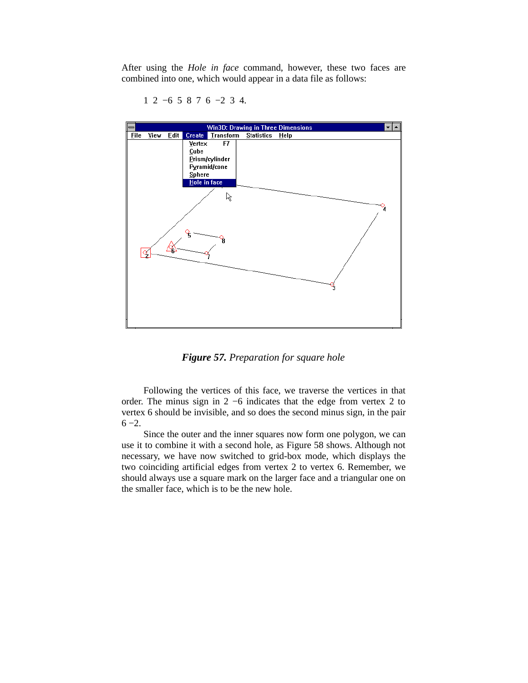After using the *Hole in face* command, however, these two faces are combined into one, which would appear in a data file as follows:



1 2 −6 5 8 7 6 −2 3 4.

*Figure 57. Preparation for square hole*

Following the vertices of this face, we traverse the vertices in that order. The minus sign in 2 −6 indicates that the edge from vertex 2 to vertex 6 should be invisible, and so does the second minus sign, in the pair 6 −2.

Since the outer and the inner squares now form one polygon, we can use it to combine it with a second hole, as Figure 58 shows. Although not necessary, we have now switched to grid-box mode, which displays the two coinciding artificial edges from vertex 2 to vertex 6. Remember, we should always use a square mark on the larger face and a triangular one on the smaller face, which is to be the new hole.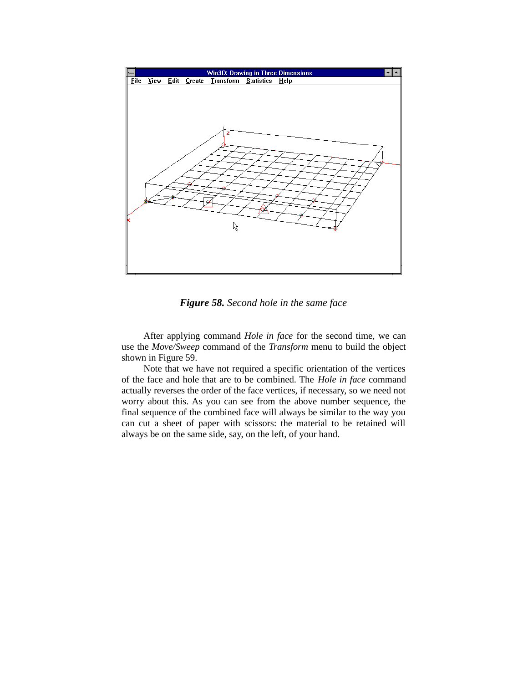

*Figure 58. Second hole in the same face*

After applying command *Hole in face* for the second time, we can use the *Move/Sweep* command of the *Transform* menu to build the object shown in Figure 59.

Note that we have not required a specific orientation of the vertices of the face and hole that are to be combined. The *Hole in face* command actually reverses the order of the face vertices, if necessary, so we need not worry about this. As you can see from the above number sequence, the final sequence of the combined face will always be similar to the way you can cut a sheet of paper with scissors: the material to be retained will always be on the same side, say, on the left, of your hand.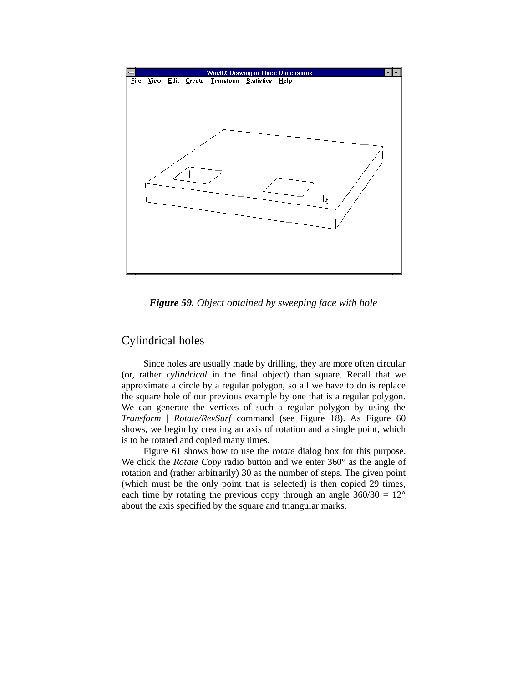

*Figure 59. Object obtained by sweeping face with hole*

#### Cylindrical holes

Since holes are usually made by drilling, they are more often circular (or, rather *cylindrical* in the final object) than square. Recall that we approximate a circle by a regular polygon, so all we have to do is replace the square hole of our previous example by one that is a regular polygon. We can generate the vertices of such a regular polygon by using the *Transform* | *Rotate/RevSurf* command (see Figure 18). As Figure 60 shows, we begin by creating an axis of rotation and a single point, which is to be rotated and copied many times.

Figure 61 shows how to use the *rotate* dialog box for this purpose. We click the *Rotate Copy* radio button and we enter 360° as the angle of rotation and (rather arbitrarily) 30 as the number of steps. The given point (which must be the only point that is selected) is then copied 29 times, each time by rotating the previous copy through an angle  $360/30 = 12^{\circ}$ about the axis specified by the square and triangular marks.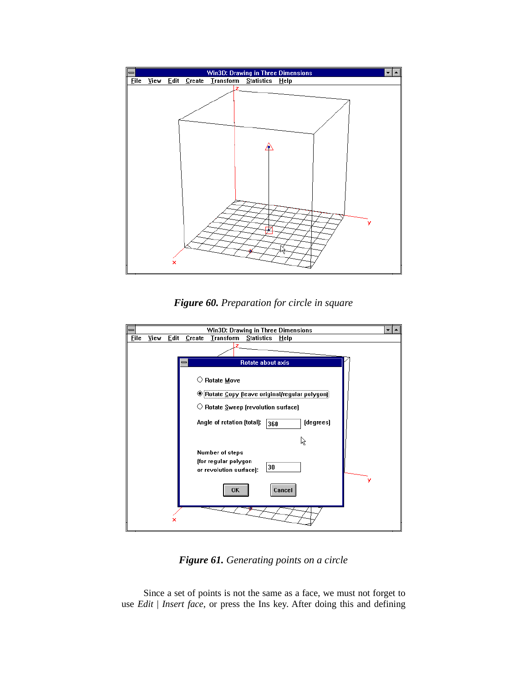

*Figure 60. Preparation for circle in square*



*Figure 61. Generating points on a circle*

Since a set of points is not the same as a face, we must not forget to use *Edit* | *Insert face*, or press the Ins key. After doing this and defining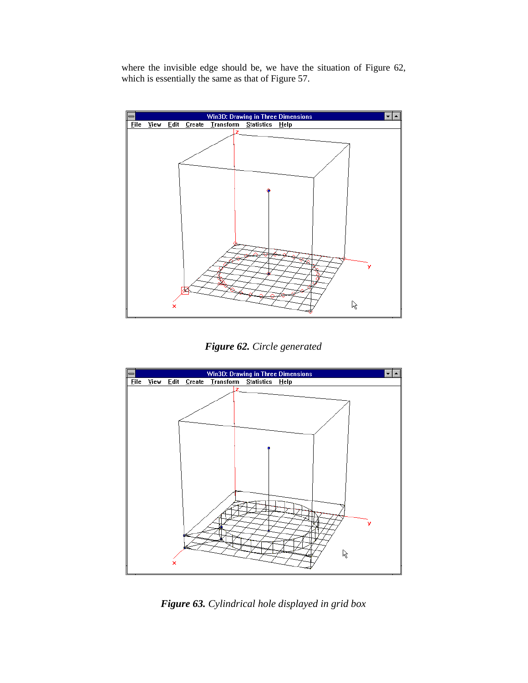where the invisible edge should be, we have the situation of Figure 62, which is essentially the same as that of Figure 57.



*Figure 62. Circle generated*



*Figure 63. Cylindrical hole displayed in grid box*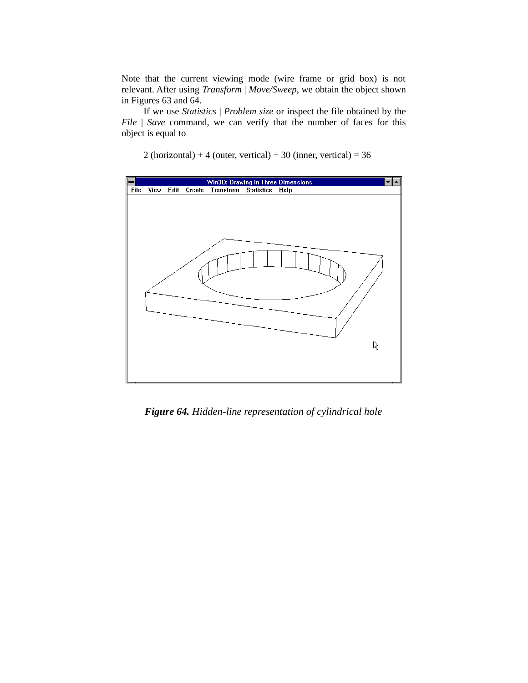Note that the current viewing mode (wire frame or grid box) is not relevant. After using *Transform* | *Move/Sweep*, we obtain the object shown in Figures 63 and 64.

If we use *Statistics* | *Problem size* or inspect the file obtained by the *File* | *Save* command, we can verify that the number of faces for this object is equal to





*Figure 64. Hidden-line representation of cylindrical hole*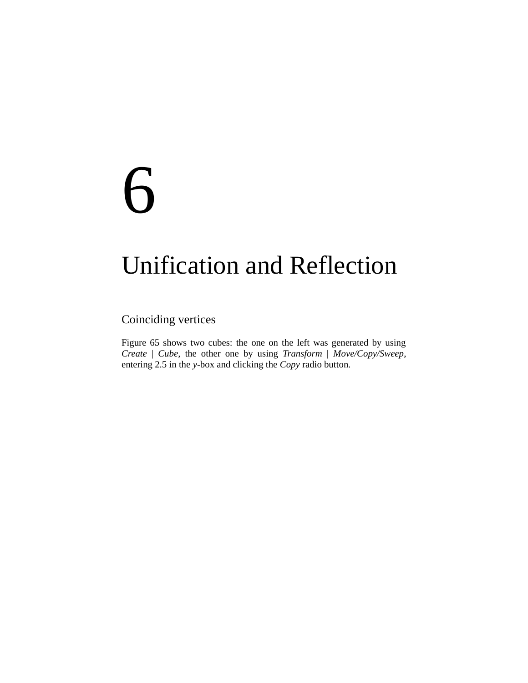## 6

### Unification and Reflection

#### Coinciding vertices

Figure 65 shows two cubes: the one on the left was generated by using *Create* | *Cube*, the other one by using *Transform* | *Move/Copy/Sweep*, entering 2.5 in the *y*-box and clicking the *Copy* radio button.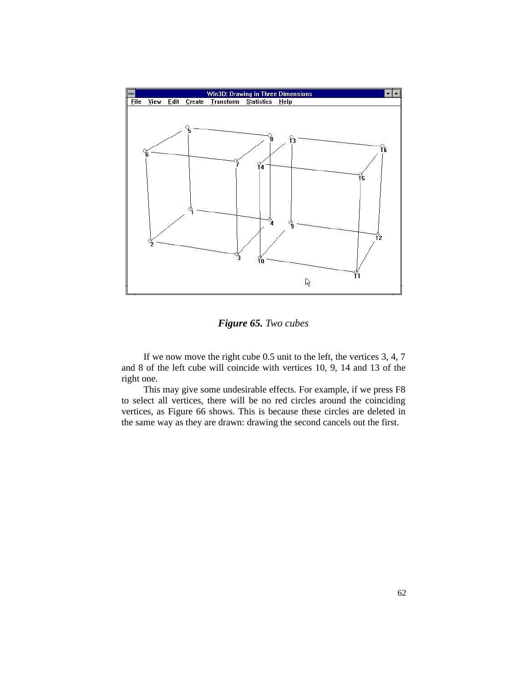

*Figure 65. Two cubes*

If we now move the right cube 0.5 unit to the left, the vertices 3, 4, 7 and 8 of the left cube will coincide with vertices 10, 9, 14 and 13 of the right one.

This may give some undesirable effects. For example, if we press F8 to select all vertices, there will be no red circles around the coinciding vertices, as Figure 66 shows. This is because these circles are deleted in the same way as they are drawn: drawing the second cancels out the first.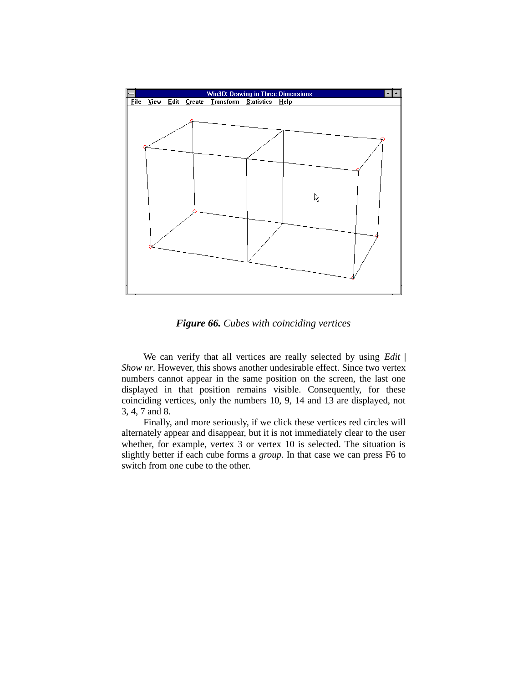

*Figure 66. Cubes with coinciding vertices*

We can verify that all vertices are really selected by using *Edit* | *Show nr*. However, this shows another undesirable effect. Since two vertex numbers cannot appear in the same position on the screen, the last one displayed in that position remains visible. Consequently, for these coinciding vertices, only the numbers 10, 9, 14 and 13 are displayed, not 3, 4, 7 and 8.

Finally, and more seriously, if we click these vertices red circles will alternately appear and disappear, but it is not immediately clear to the user whether, for example, vertex 3 or vertex 10 is selected. The situation is slightly better if each cube forms a *group*. In that case we can press F6 to switch from one cube to the other.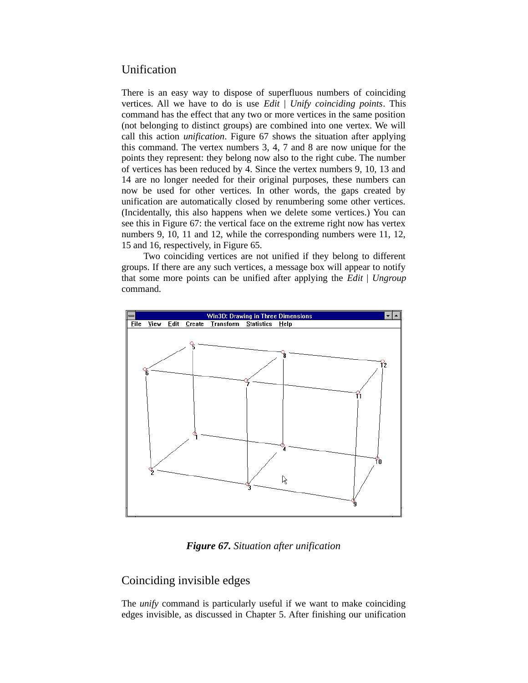#### Unification

There is an easy way to dispose of superfluous numbers of coinciding vertices. All we have to do is use *Edit* | *Unify coinciding points*. This command has the effect that any two or more vertices in the same position (not belonging to distinct groups) are combined into one vertex. We will call this action *unification*. Figure 67 shows the situation after applying this command. The vertex numbers 3, 4, 7 and 8 are now unique for the points they represent: they belong now also to the right cube. The number of vertices has been reduced by 4. Since the vertex numbers 9, 10, 13 and 14 are no longer needed for their original purposes, these numbers can now be used for other vertices. In other words, the gaps created by unification are automatically closed by renumbering some other vertices. (Incidentally, this also happens when we delete some vertices.) You can see this in Figure 67: the vertical face on the extreme right now has vertex numbers 9, 10, 11 and 12, while the corresponding numbers were 11, 12, 15 and 16, respectively, in Figure 65.

Two coinciding vertices are not unified if they belong to different groups. If there are any such vertices, a message box will appear to notify that some more points can be unified after applying the *Edit* | *Ungroup* command.



*Figure 67. Situation after unification*

#### Coinciding invisible edges

The *unify* command is particularly useful if we want to make coinciding edges invisible, as discussed in Chapter 5. After finishing our unification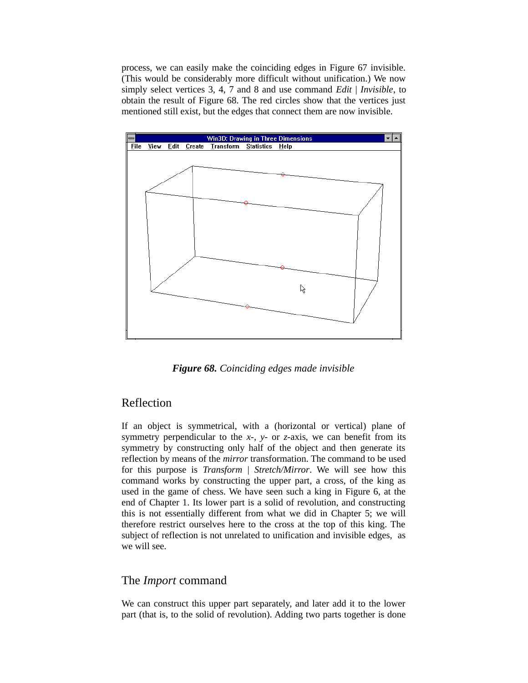process, we can easily make the coinciding edges in Figure 67 invisible. (This would be considerably more difficult without unification.) We now simply select vertices 3, 4, 7 and 8 and use command *Edit* | *Invisible*, to obtain the result of Figure 68. The red circles show that the vertices just mentioned still exist, but the edges that connect them are now invisible.



*Figure 68. Coinciding edges made invisible*

#### Reflection

If an object is symmetrical, with a (horizontal or vertical) plane of symmetry perpendicular to the *x-*, *y*- or *z*-axis, we can benefit from its symmetry by constructing only half of the object and then generate its reflection by means of the *mirror* transformation. The command to be used for this purpose is *Transform* | *Stretch/Mirror*. We will see how this command works by constructing the upper part, a cross, of the king as used in the game of chess. We have seen such a king in Figure 6, at the end of Chapter 1. Its lower part is a solid of revolution, and constructing this is not essentially different from what we did in Chapter 5; we will therefore restrict ourselves here to the cross at the top of this king. The subject of reflection is not unrelated to unification and invisible edges, as we will see.

#### The *Import* command

We can construct this upper part separately, and later add it to the lower part (that is, to the solid of revolution). Adding two parts together is done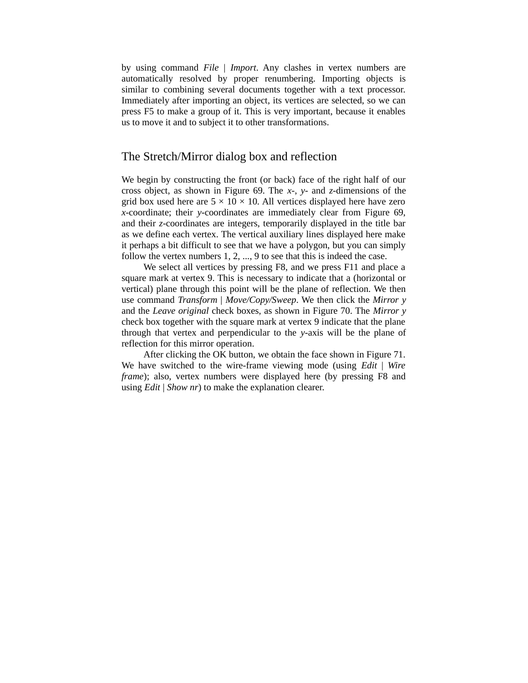by using command *File* | *Import*. Any clashes in vertex numbers are automatically resolved by proper renumbering. Importing objects is similar to combining several documents together with a text processor. Immediately after importing an object, its vertices are selected, so we can press F5 to make a group of it. This is very important, because it enables us to move it and to subject it to other transformations.

#### The Stretch/Mirror dialog box and reflection

We begin by constructing the front (or back) face of the right half of our cross object, as shown in Figure 69. The *x*-, *y*- and *z*-dimensions of the grid box used here are  $5 \times 10 \times 10$ . All vertices displayed here have zero *x*-coordinate; their *y*-coordinates are immediately clear from Figure 69, and their *z*-coordinates are integers, temporarily displayed in the title bar as we define each vertex. The vertical auxiliary lines displayed here make it perhaps a bit difficult to see that we have a polygon, but you can simply follow the vertex numbers 1, 2, ..., 9 to see that this is indeed the case.

We select all vertices by pressing F8, and we press F11 and place a square mark at vertex 9. This is necessary to indicate that a (horizontal or vertical) plane through this point will be the plane of reflection. We then use command *Transform* | *Move/Copy/Sweep*. We then click the *Mirror y* and the *Leave original* check boxes, as shown in Figure 70. The *Mirror y* check box together with the square mark at vertex 9 indicate that the plane through that vertex and perpendicular to the *y*-axis will be the plane of reflection for this mirror operation.

After clicking the OK button, we obtain the face shown in Figure 71. We have switched to the wire-frame viewing mode (using *Edit* | *Wire frame*); also, vertex numbers were displayed here (by pressing F8 and using *Edit* | *Show nr*) to make the explanation clearer.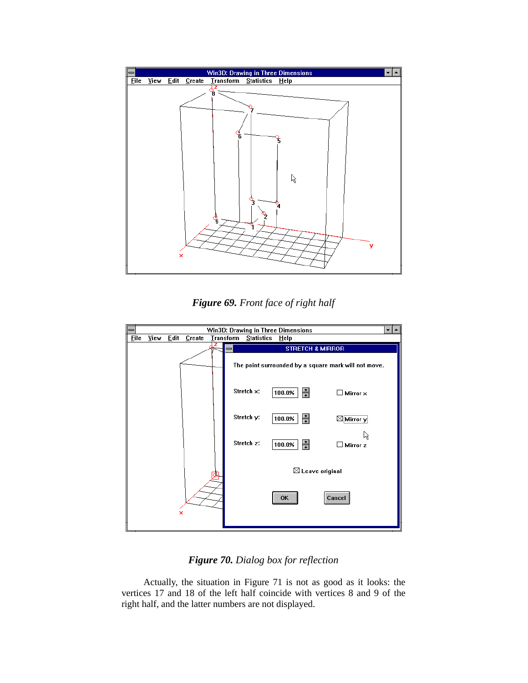

*Figure 69. Front face of right half*



*Figure 70. Dialog box for reflection*

Actually, the situation in Figure 71 is not as good as it looks: the vertices 17 and 18 of the left half coincide with vertices 8 and 9 of the right half, and the latter numbers are not displayed.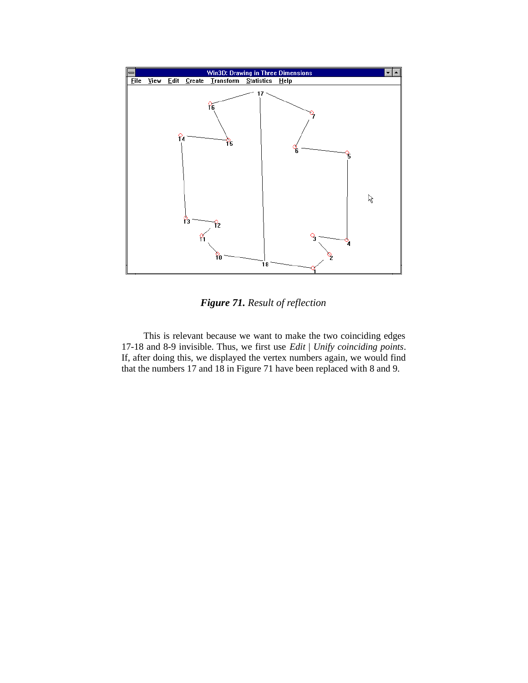

*Figure 71. Result of reflection*

This is relevant because we want to make the two coinciding edges 17-18 and 8-9 invisible. Thus, we first use *Edit* | *Unify coinciding points*. If, after doing this, we displayed the vertex numbers again, we would find that the numbers 17 and 18 in Figure 71 have been replaced with 8 and 9.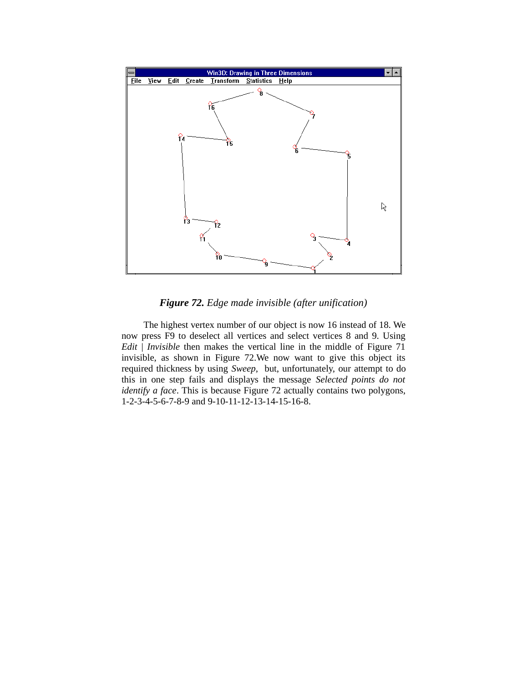

*Figure 72. Edge made invisible (after unification)*

The highest vertex number of our object is now 16 instead of 18. We now press F9 to deselect all vertices and select vertices 8 and 9. Using *Edit* | *Invisible* then makes the vertical line in the middle of Figure 71 invisible, as shown in Figure 72.We now want to give this object its required thickness by using *Sweep*, but, unfortunately, our attempt to do this in one step fails and displays the message *Selected points do not identify a face*. This is because Figure 72 actually contains two polygons, 1-2-3-4-5-6-7-8-9 and 9-10-11-12-13-14-15-16-8.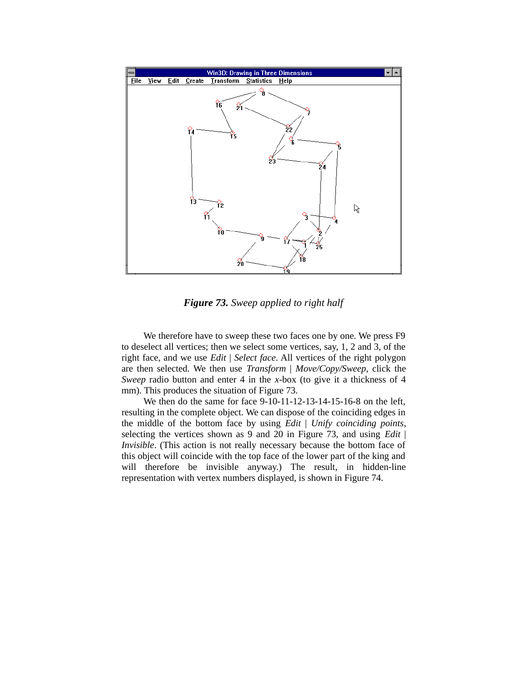

*Figure 73. Sweep applied to right half*

We therefore have to sweep these two faces one by one. We press F9 to deselect all vertices; then we select some vertices, say, 1, 2 and 3, of the right face, and we use *Edit* | *Select face*. All vertices of the right polygon are then selected. We then use *Transform* | *Move/Copy/Sweep*, click the *Sweep* radio button and enter 4 in the *x*-box (to give it a thickness of 4 mm). This produces the situation of Figure 73.

We then do the same for face 9-10-11-12-13-14-15-16-8 on the left, resulting in the complete object. We can dispose of the coinciding edges in the middle of the bottom face by using *Edit* | *Unify coinciding points*, selecting the vertices shown as 9 and 20 in Figure 73, and using *Edit* | *Invisible*. (This action is not really necessary because the bottom face of this object will coincide with the top face of the lower part of the king and will therefore be invisible anyway.) The result, in hidden-line representation with vertex numbers displayed, is shown in Figure 74.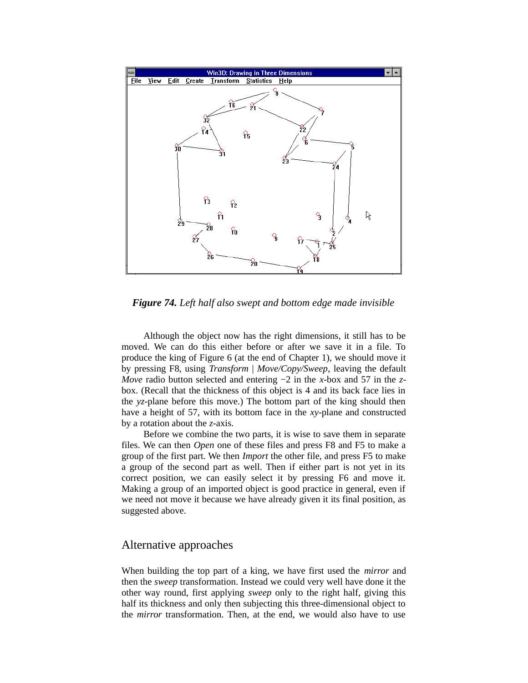

*Figure 74. Left half also swept and bottom edge made invisible*

Although the object now has the right dimensions, it still has to be moved. We can do this either before or after we save it in a file. To produce the king of Figure 6 (at the end of Chapter 1), we should move it by pressing F8, using *Transform* | *Move/Copy/Sweep*, leaving the default *Move* radio button selected and entering −2 in the *x*-box and 57 in the *z*box. (Recall that the thickness of this object is 4 and its back face lies in the *yz*-plane before this move.) The bottom part of the king should then have a height of 57, with its bottom face in the *xy*-plane and constructed by a rotation about the *z*-axis.

Before we combine the two parts, it is wise to save them in separate files. We can then *Open* one of these files and press F8 and F5 to make a group of the first part. We then *Import* the other file, and press F5 to make a group of the second part as well. Then if either part is not yet in its correct position, we can easily select it by pressing F6 and move it. Making a group of an imported object is good practice in general, even if we need not move it because we have already given it its final position, as suggested above.

#### Alternative approaches

When building the top part of a king, we have first used the *mirror* and then the *sweep* transformation. Instead we could very well have done it the other way round, first applying *sweep* only to the right half, giving this half its thickness and only then subjecting this three-dimensional object to the *mirror* transformation. Then, at the end, we would also have to use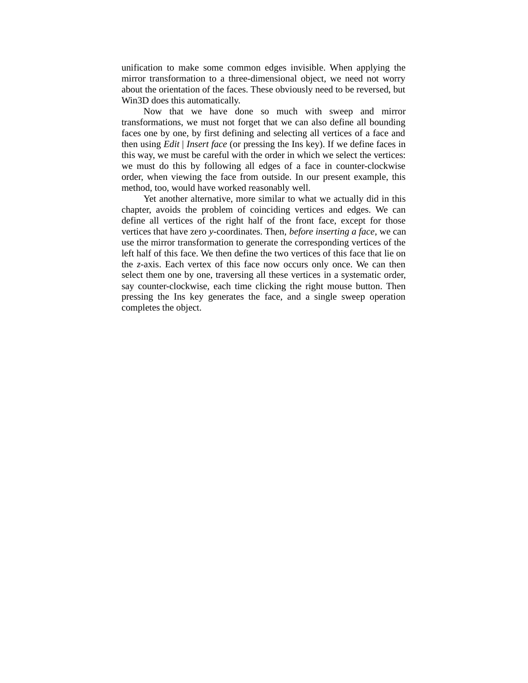unification to make some common edges invisible. When applying the mirror transformation to a three-dimensional object, we need not worry about the orientation of the faces. These obviously need to be reversed, but Win3D does this automatically.

Now that we have done so much with sweep and mirror transformations, we must not forget that we can also define all bounding faces one by one, by first defining and selecting all vertices of a face and then using *Edit* | *Insert face* (or pressing the Ins key). If we define faces in this way, we must be careful with the order in which we select the vertices: we must do this by following all edges of a face in counter-clockwise order, when viewing the face from outside. In our present example, this method, too, would have worked reasonably well.

Yet another alternative, more similar to what we actually did in this chapter, avoids the problem of coinciding vertices and edges. We can define all vertices of the right half of the front face, except for those vertices that have zero *y*-coordinates. Then, *before inserting a face*, we can use the mirror transformation to generate the corresponding vertices of the left half of this face. We then define the two vertices of this face that lie on the *z*-axis. Each vertex of this face now occurs only once. We can then select them one by one, traversing all these vertices in a systematic order, say counter-clockwise, each time clicking the right mouse button. Then pressing the Ins key generates the face, and a single sweep operation completes the object.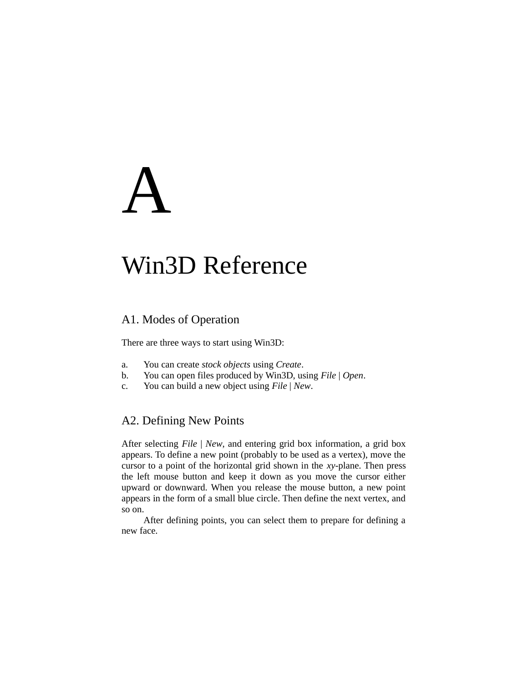# A

# Win3D Reference

# A1. Modes of Operation

There are three ways to start using Win3D:

- a. You can create *stock objects* using *Create*.
- b. You can open files produced by Win3D, using *File* | *Open*.
- c. You can build a new object using *File* | *New*.

# A2. Defining New Points

After selecting *File* | *New*, and entering grid box information, a grid box appears. To define a new point (probably to be used as a vertex), move the cursor to a point of the horizontal grid shown in the *xy*-plane. Then press the left mouse button and keep it down as you move the cursor either upward or downward. When you release the mouse button, a new point appears in the form of a small blue circle. Then define the next vertex, and so on.

After defining points, you can select them to prepare for defining a new face.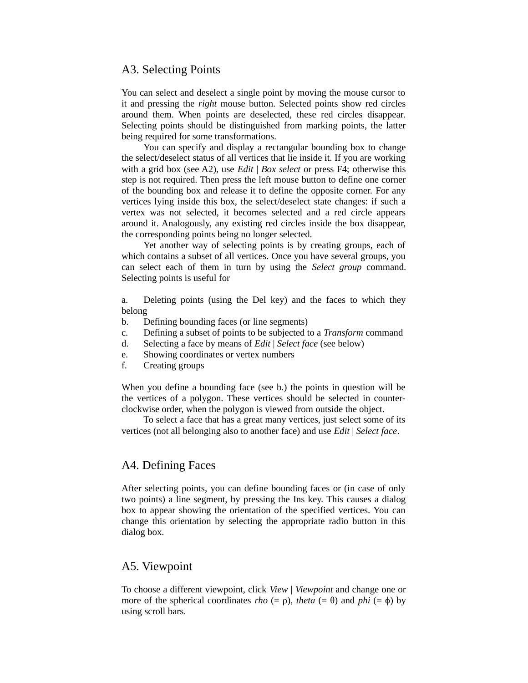### A3. Selecting Points

You can select and deselect a single point by moving the mouse cursor to it and pressing the *right* mouse button. Selected points show red circles around them. When points are deselected, these red circles disappear. Selecting points should be distinguished from marking points, the latter being required for some transformations.

You can specify and display a rectangular bounding box to change the select/deselect status of all vertices that lie inside it. If you are working with a grid box (see A2), use *Edit* | *Box select* or press F4; otherwise this step is not required. Then press the left mouse button to define one corner of the bounding box and release it to define the opposite corner. For any vertices lying inside this box, the select/deselect state changes: if such a vertex was not selected, it becomes selected and a red circle appears around it. Analogously, any existing red circles inside the box disappear, the corresponding points being no longer selected.

Yet another way of selecting points is by creating groups, each of which contains a subset of all vertices. Once you have several groups, you can select each of them in turn by using the *Select group* command. Selecting points is useful for

a. Deleting points (using the Del key) and the faces to which they belong

- b. Defining bounding faces (or line segments)
- c. Defining a subset of points to be subjected to a *Transform* command
- d. Selecting a face by means of *Edit* | *Select face* (see below)
- e. Showing coordinates or vertex numbers
- f. Creating groups

When you define a bounding face (see b.) the points in question will be the vertices of a polygon. These vertices should be selected in counterclockwise order, when the polygon is viewed from outside the object.

To select a face that has a great many vertices, just select some of its vertices (not all belonging also to another face) and use *Edit* | *Select face*.

# A4. Defining Faces

After selecting points, you can define bounding faces or (in case of only two points) a line segment, by pressing the Ins key. This causes a dialog box to appear showing the orientation of the specified vertices. You can change this orientation by selecting the appropriate radio button in this dialog box.

#### A5. Viewpoint

To choose a different viewpoint, click *View* | *Viewpoint* and change one or more of the spherical coordinates *rho* (= ρ), *theta* (= θ) and *phi* (= φ) by using scroll bars.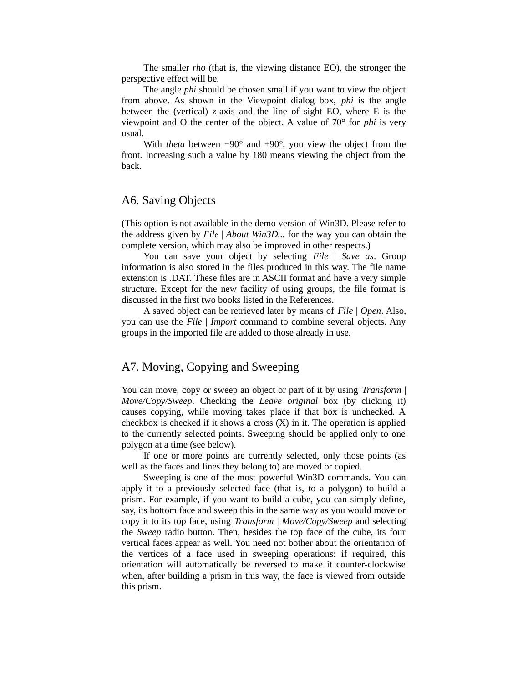The smaller *rho* (that is, the viewing distance EO), the stronger the perspective effect will be.

The angle *phi* should be chosen small if you want to view the object from above. As shown in the Viewpoint dialog box, *phi* is the angle between the (vertical) *z*-axis and the line of sight EO, where E is the viewpoint and O the center of the object. A value of 70° for *phi* is very usual.

With *theta* between −90° and +90°, you view the object from the front. Increasing such a value by 180 means viewing the object from the back.

#### A6. Saving Objects

(This option is not available in the demo version of Win3D. Please refer to the address given by *File* | *About Win3D...* for the way you can obtain the complete version, which may also be improved in other respects.)

You can save your object by selecting *File* | *Save as*. Group information is also stored in the files produced in this way. The file name extension is .DAT. These files are in ASCII format and have a very simple structure. Except for the new facility of using groups, the file format is discussed in the first two books listed in the References.

A saved object can be retrieved later by means of *File* | *Open*. Also, you can use the *File* | *Import* command to combine several objects. Any groups in the imported file are added to those already in use.

#### A7. Moving, Copying and Sweeping

You can move, copy or sweep an object or part of it by using *Transform* | *Move/Copy/Sweep*. Checking the *Leave original* box (by clicking it) causes copying, while moving takes place if that box is unchecked. A checkbox is checked if it shows a cross  $(X)$  in it. The operation is applied to the currently selected points. Sweeping should be applied only to one polygon at a time (see below).

If one or more points are currently selected, only those points (as well as the faces and lines they belong to) are moved or copied.

Sweeping is one of the most powerful Win3D commands. You can apply it to a previously selected face (that is, to a polygon) to build a prism. For example, if you want to build a cube, you can simply define, say, its bottom face and sweep this in the same way as you would move or copy it to its top face, using *Transform* | *Move/Copy/Sweep* and selecting the *Sweep* radio button. Then, besides the top face of the cube, its four vertical faces appear as well. You need not bother about the orientation of the vertices of a face used in sweeping operations: if required, this orientation will automatically be reversed to make it counter-clockwise when, after building a prism in this way, the face is viewed from outside this prism.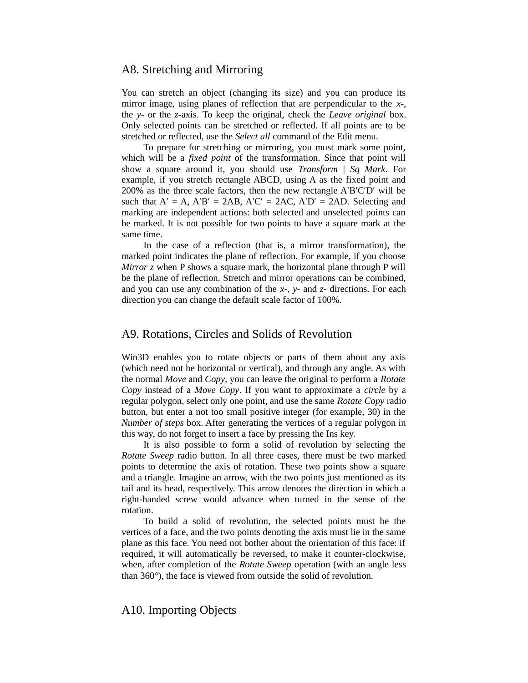#### A8. Stretching and Mirroring

You can stretch an object (changing its size) and you can produce its mirror image, using planes of reflection that are perpendicular to the *x*-, the *y*- or the *z*-axis. To keep the original, check the *Leave original* box. Only selected points can be stretched or reflected. If all points are to be stretched or reflected, use the *Select all* command of the Edit menu.

To prepare for stretching or mirroring, you must mark some point, which will be a *fixed point* of the transformation. Since that point will show a square around it, you should use *Transform* | *Sq Mark*. For example, if you stretch rectangle ABCD, using A as the fixed point and 200% as the three scale factors, then the new rectangle A′B′C′D′ will be such that  $A' = A$ ,  $A'B' = 2AB$ ,  $A'C' = 2AC$ ,  $A'D' = 2AD$ . Selecting and marking are independent actions: both selected and unselected points can be marked. It is not possible for two points to have a square mark at the same time.

In the case of a reflection (that is, a mirror transformation), the marked point indicates the plane of reflection. For example, if you choose *Mirror z* when P shows a square mark, the horizontal plane through P will be the plane of reflection. Stretch and mirror operations can be combined, and you can use any combination of the *x*-, *y*- and *z*- directions. For each direction you can change the default scale factor of 100%.

### A9. Rotations, Circles and Solids of Revolution

Win3D enables you to rotate objects or parts of them about any axis (which need not be horizontal or vertical), and through any angle. As with the normal *Move* and *Copy*, you can leave the original to perform a *Rotate Copy* instead of a *Move Copy*. If you want to approximate a *circle* by a regular polygon, select only one point, and use the same *Rotate Copy* radio button, but enter a not too small positive integer (for example, 30) in the *Number of steps* box. After generating the vertices of a regular polygon in this way, do not forget to insert a face by pressing the Ins key.

It is also possible to form a solid of revolution by selecting the *Rotate Sweep* radio button. In all three cases, there must be two marked points to determine the axis of rotation. These two points show a square and a triangle. Imagine an arrow, with the two points just mentioned as its tail and its head, respectively. This arrow denotes the direction in which a right-handed screw would advance when turned in the sense of the rotation.

To build a solid of revolution, the selected points must be the vertices of a face, and the two points denoting the axis must lie in the same plane as this face. You need not bother about the orientation of this face: if required, it will automatically be reversed, to make it counter-clockwise, when, after completion of the *Rotate Sweep* operation (with an angle less than 360°), the face is viewed from outside the solid of revolution.

#### A10. Importing Objects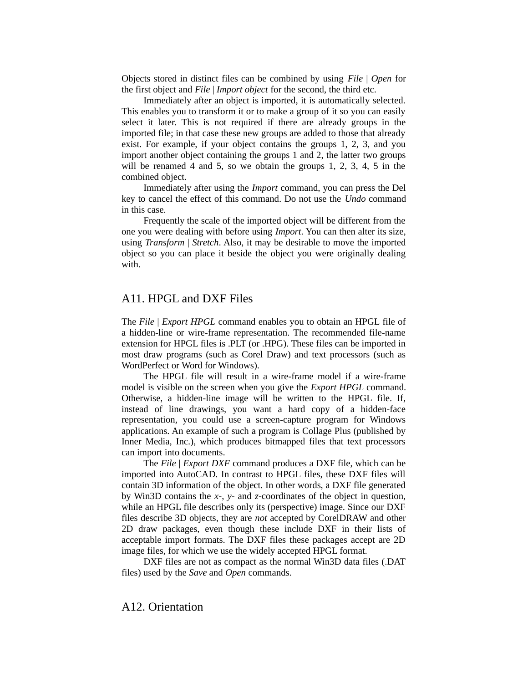Objects stored in distinct files can be combined by using *File* | *Open* for the first object and *File* | *Import object* for the second, the third etc.

Immediately after an object is imported, it is automatically selected. This enables you to transform it or to make a group of it so you can easily select it later. This is not required if there are already groups in the imported file; in that case these new groups are added to those that already exist. For example, if your object contains the groups 1, 2, 3, and you import another object containing the groups 1 and 2, the latter two groups will be renamed 4 and 5, so we obtain the groups 1, 2, 3, 4, 5 in the combined object.

Immediately after using the *Import* command, you can press the Del key to cancel the effect of this command. Do not use the *Undo* command in this case.

Frequently the scale of the imported object will be different from the one you were dealing with before using *Import*. You can then alter its size, using *Transform* | *Stretch*. Also, it may be desirable to move the imported object so you can place it beside the object you were originally dealing with.

### A11. HPGL and DXF Files

The *File* | *Export HPGL* command enables you to obtain an HPGL file of a hidden-line or wire-frame representation. The recommended file-name extension for HPGL files is .PLT (or .HPG). These files can be imported in most draw programs (such as Corel Draw) and text processors (such as WordPerfect or Word for Windows).

The HPGL file will result in a wire-frame model if a wire-frame model is visible on the screen when you give the *Export HPGL* command. Otherwise, a hidden-line image will be written to the HPGL file. If, instead of line drawings, you want a hard copy of a hidden-face representation, you could use a screen-capture program for Windows applications. An example of such a program is Collage Plus (published by Inner Media, Inc.), which produces bitmapped files that text processors can import into documents.

The *File* | *Export DXF* command produces a DXF file, which can be imported into AutoCAD. In contrast to HPGL files, these DXF files will contain 3D information of the object. In other words, a DXF file generated by Win3D contains the *x*-, *y*- and *z*-coordinates of the object in question, while an HPGL file describes only its (perspective) image. Since our DXF files describe 3D objects, they are *not* accepted by CorelDRAW and other 2D draw packages, even though these include DXF in their lists of acceptable import formats. The DXF files these packages accept are 2D image files, for which we use the widely accepted HPGL format.

DXF files are not as compact as the normal Win3D data files (.DAT files) used by the *Save* and *Open* commands.

#### A12. Orientation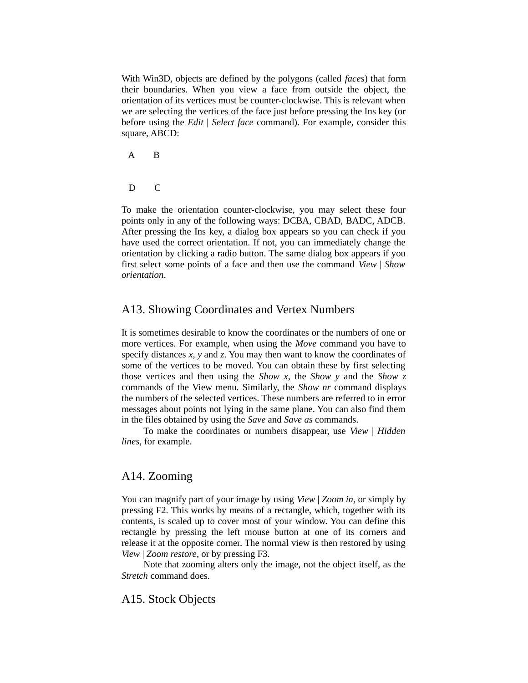With Win3D, objects are defined by the polygons (called *faces*) that form their boundaries. When you view a face from outside the object, the orientation of its vertices must be counter-clockwise. This is relevant when we are selecting the vertices of the face just before pressing the Ins key (or before using the *Edit* | *Select face* command). For example, consider this square, ABCD:

- A B
- D C

To make the orientation counter-clockwise, you may select these four points only in any of the following ways: DCBA, CBAD, BADC, ADCB. After pressing the Ins key, a dialog box appears so you can check if you have used the correct orientation. If not, you can immediately change the orientation by clicking a radio button. The same dialog box appears if you first select some points of a face and then use the command *View* | *Show orientation*.

### A13. Showing Coordinates and Vertex Numbers

It is sometimes desirable to know the coordinates or the numbers of one or more vertices. For example, when using the *Move* command you have to specify distances *x*, *y* and *z*. You may then want to know the coordinates of some of the vertices to be moved. You can obtain these by first selecting those vertices and then using the *Show x*, the *Show y* and the *Show z* commands of the View menu. Similarly, the *Show nr* command displays the numbers of the selected vertices. These numbers are referred to in error messages about points not lying in the same plane. You can also find them in the files obtained by using the *Save* and *Save as* commands.

To make the coordinates or numbers disappear, use *View* | *Hidden lines*, for example.

#### A14. Zooming

You can magnify part of your image by using *View* | *Zoom in*, or simply by pressing F2. This works by means of a rectangle, which, together with its contents, is scaled up to cover most of your window. You can define this rectangle by pressing the left mouse button at one of its corners and release it at the opposite corner. The normal view is then restored by using *View* | *Zoom restore*, or by pressing F3.

Note that zooming alters only the image, not the object itself, as the *Stretch* command does.

#### A15. Stock Objects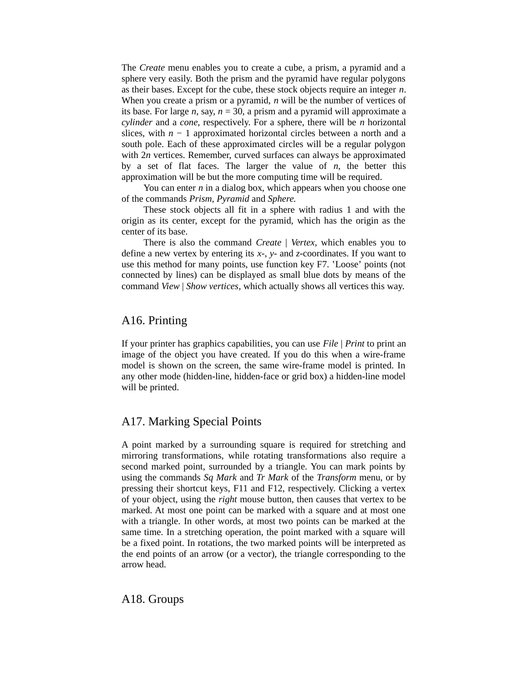The *Create* menu enables you to create a cube, a prism, a pyramid and a sphere very easily. Both the prism and the pyramid have regular polygons as their bases. Except for the cube, these stock objects require an integer *n*. When you create a prism or a pyramid, *n* will be the number of vertices of its base. For large *n*, say, *n* = 30, a prism and a pyramid will approximate a *cylinder* and a *cone*, respectively. For a sphere, there will be *n* horizontal slices, with *n* − 1 approximated horizontal circles between a north and a south pole. Each of these approximated circles will be a regular polygon with 2*n* vertices. Remember, curved surfaces can always be approximated by a set of flat faces. The larger the value of *n*, the better this approximation will be but the more computing time will be required.

You can enter *n* in a dialog box, which appears when you choose one of the commands *Prism*, *Pyramid* and *Sphere.*

These stock objects all fit in a sphere with radius 1 and with the origin as its center, except for the pyramid, which has the origin as the center of its base.

There is also the command *Create* | *Vertex*, which enables you to define a new vertex by entering its *x*-, *y*- and *z*-coordinates. If you want to use this method for many points, use function key F7. ʽLoose' points (not connected by lines) can be displayed as small blue dots by means of the command *View* | *Show vertices*, which actually shows all vertices this way.

#### A16. Printing

If your printer has graphics capabilities, you can use *File* | *Print* to print an image of the object you have created. If you do this when a wire-frame model is shown on the screen, the same wire-frame model is printed. In any other mode (hidden-line, hidden-face or grid box) a hidden-line model will be printed.

# A17. Marking Special Points

A point marked by a surrounding square is required for stretching and mirroring transformations, while rotating transformations also require a second marked point, surrounded by a triangle. You can mark points by using the commands *Sq Mark* and *Tr Mark* of the *Transform* menu, or by pressing their shortcut keys, F11 and F12, respectively. Clicking a vertex of your object, using the *right* mouse button, then causes that vertex to be marked. At most one point can be marked with a square and at most one with a triangle. In other words, at most two points can be marked at the same time. In a stretching operation, the point marked with a square will be a fixed point. In rotations, the two marked points will be interpreted as the end points of an arrow (or a vector), the triangle corresponding to the arrow head.

#### A18. Groups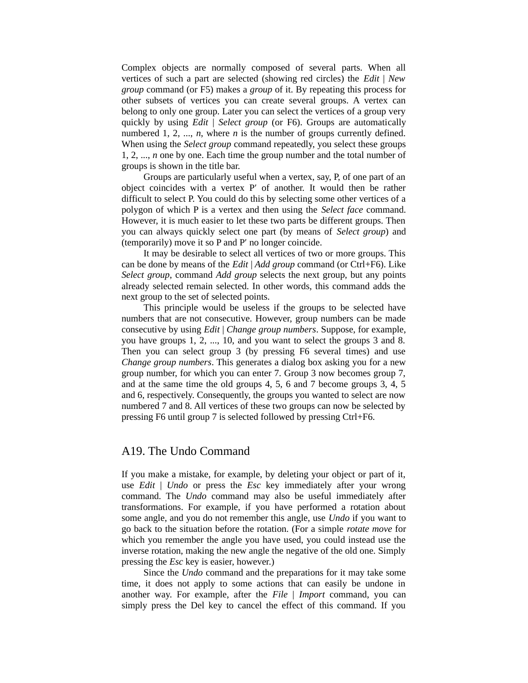Complex objects are normally composed of several parts. When all vertices of such a part are selected (showing red circles) the *Edit* | *New group* command (or F5) makes a *group* of it. By repeating this process for other subsets of vertices you can create several groups. A vertex can belong to only one group. Later you can select the vertices of a group very quickly by using *Edit* | *Select group* (or F6). Groups are automatically numbered 1, 2, ..., *n*, where *n* is the number of groups currently defined. When using the *Select group* command repeatedly, you select these groups 1, 2, ..., *n* one by one. Each time the group number and the total number of groups is shown in the title bar.

Groups are particularly useful when a vertex, say, P, of one part of an object coincides with a vertex P′ of another. It would then be rather difficult to select P. You could do this by selecting some other vertices of a polygon of which P is a vertex and then using the *Select face* command. However, it is much easier to let these two parts be different groups. Then you can always quickly select one part (by means of *Select group*) and (temporarily) move it so P and P′ no longer coincide.

It may be desirable to select all vertices of two or more groups. This can be done by means of the *Edit* | *Add group* command (or Ctrl+F6). Like *Select group*, command *Add group* selects the next group, but any points already selected remain selected. In other words, this command adds the next group to the set of selected points.

This principle would be useless if the groups to be selected have numbers that are not consecutive. However, group numbers can be made consecutive by using *Edit* | *Change group numbers*. Suppose, for example, you have groups 1, 2, ..., 10, and you want to select the groups 3 and 8. Then you can select group 3 (by pressing F6 several times) and use *Change group numbers*. This generates a dialog box asking you for a new group number, for which you can enter 7. Group 3 now becomes group 7, and at the same time the old groups 4, 5, 6 and 7 become groups 3, 4, 5 and 6, respectively. Consequently, the groups you wanted to select are now numbered 7 and 8. All vertices of these two groups can now be selected by pressing F6 until group 7 is selected followed by pressing Ctrl+F6.

#### A19. The Undo Command

If you make a mistake, for example, by deleting your object or part of it, use *Edit* | *Undo* or press the *Esc* key immediately after your wrong command. The *Undo* command may also be useful immediately after transformations. For example, if you have performed a rotation about some angle, and you do not remember this angle, use *Undo* if you want to go back to the situation before the rotation. (For a simple *rotate move* for which you remember the angle you have used, you could instead use the inverse rotation, making the new angle the negative of the old one. Simply pressing the *Esc* key is easier, however.)

Since the *Undo* command and the preparations for it may take some time, it does not apply to some actions that can easily be undone in another way. For example, after the *File* | *Import* command, you can simply press the Del key to cancel the effect of this command. If you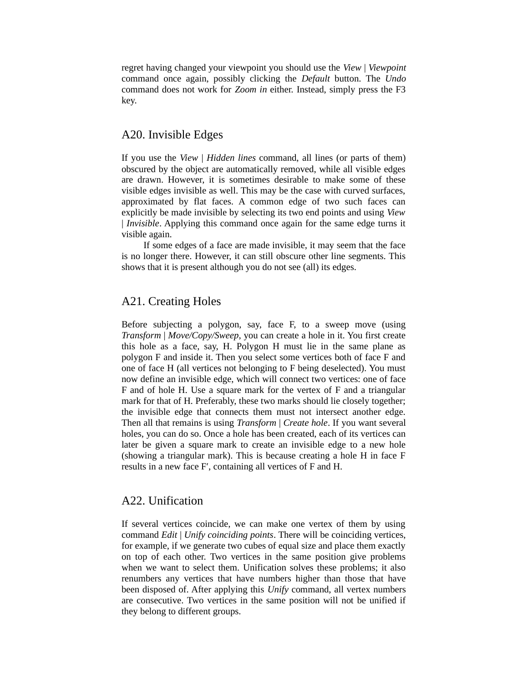regret having changed your viewpoint you should use the *View* | *Viewpoint* command once again, possibly clicking the *Default* button. The *Undo* command does not work for *Zoom in* either. Instead, simply press the F3 key.

# A20. Invisible Edges

If you use the *View* | *Hidden lines* command, all lines (or parts of them) obscured by the object are automatically removed, while all visible edges are drawn. However, it is sometimes desirable to make some of these visible edges invisible as well. This may be the case with curved surfaces, approximated by flat faces. A common edge of two such faces can explicitly be made invisible by selecting its two end points and using *View* | *Invisible*. Applying this command once again for the same edge turns it visible again.

If some edges of a face are made invisible, it may seem that the face is no longer there. However, it can still obscure other line segments. This shows that it is present although you do not see (all) its edges.

# A21. Creating Holes

Before subjecting a polygon, say, face F, to a sweep move (using *Transform* | *Move/Copy/Sweep*, you can create a hole in it. You first create this hole as a face, say, H. Polygon H must lie in the same plane as polygon F and inside it. Then you select some vertices both of face F and one of face H (all vertices not belonging to F being deselected). You must now define an invisible edge, which will connect two vertices: one of face F and of hole H. Use a square mark for the vertex of F and a triangular mark for that of H. Preferably, these two marks should lie closely together; the invisible edge that connects them must not intersect another edge. Then all that remains is using *Transform* | *Create hole*. If you want several holes, you can do so. Once a hole has been created, each of its vertices can later be given a square mark to create an invisible edge to a new hole (showing a triangular mark). This is because creating a hole H in face F results in a new face F′, containing all vertices of F and H.

#### A22. Unification

If several vertices coincide, we can make one vertex of them by using command *Edit* | *Unify coinciding points*. There will be coinciding vertices, for example, if we generate two cubes of equal size and place them exactly on top of each other. Two vertices in the same position give problems when we want to select them. Unification solves these problems; it also renumbers any vertices that have numbers higher than those that have been disposed of. After applying this *Unify* command, all vertex numbers are consecutive. Two vertices in the same position will not be unified if they belong to different groups.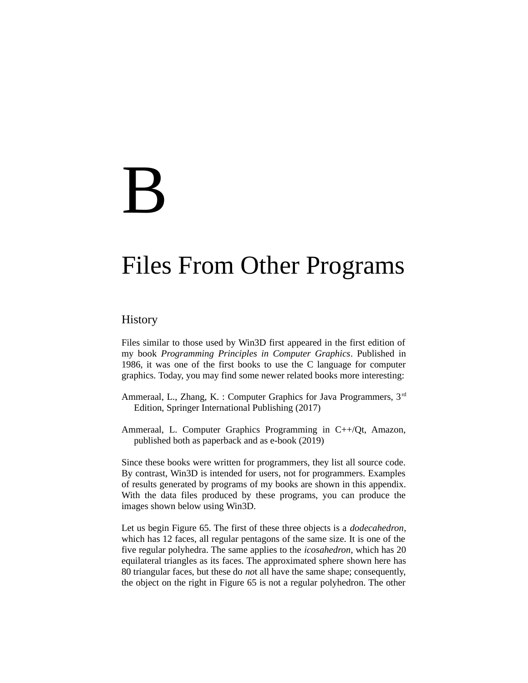# B

# Files From Other Programs

# **History**

Files similar to those used by Win3D first appeared in the first edition of my book *Programming Principles in Computer Graphics*. Published in 1986, it was one of the first books to use the C language for computer graphics. Today, you may find some newer related books more interesting:

- Ammeraal, L., Zhang, K. : Computer Graphics for Java Programmers,  $3<sup>rd</sup>$ Edition, Springer International Publishing (2017)
- Ammeraal, L. Computer Graphics Programming in C++/Qt, Amazon, published both as paperback and as e-book (2019)

Since these books were written for programmers, they list all source code. By contrast, Win3D is intended for users, not for programmers. Examples of results generated by programs of my books are shown in this appendix. With the data files produced by these programs, you can produce the images shown below using Win3D.

Let us begin Figure 65. The first of these three objects is a *dodecahedron*, which has 12 faces, all regular pentagons of the same size. It is one of the five regular polyhedra. The same applies to the *icosahedron*, which has 20 equilateral triangles as its faces. The approximated sphere shown here has 80 triangular faces, but these do *no*t all have the same shape; consequently, the object on the right in Figure 65 is not a regular polyhedron. The other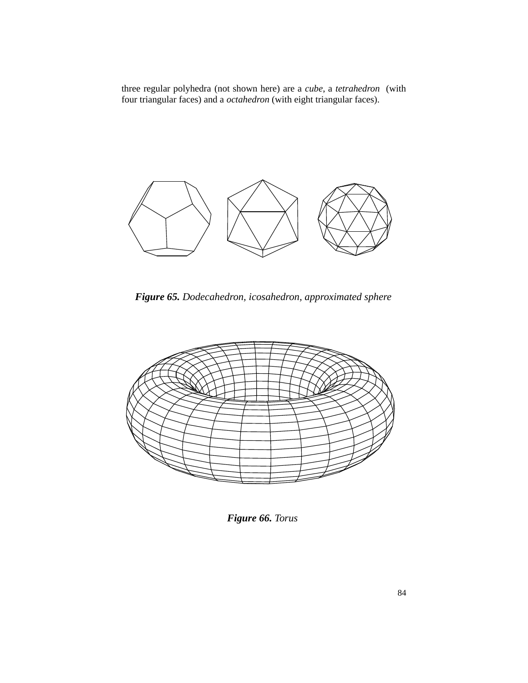three regular polyhedra (not shown here) are a *cube*, a *tetrahedron* (with four triangular faces) and a *octahedron* (with eight triangular faces).



*Figure 65. Dodecahedron, icosahedron, approximated sphere*



*Figure 66. Torus*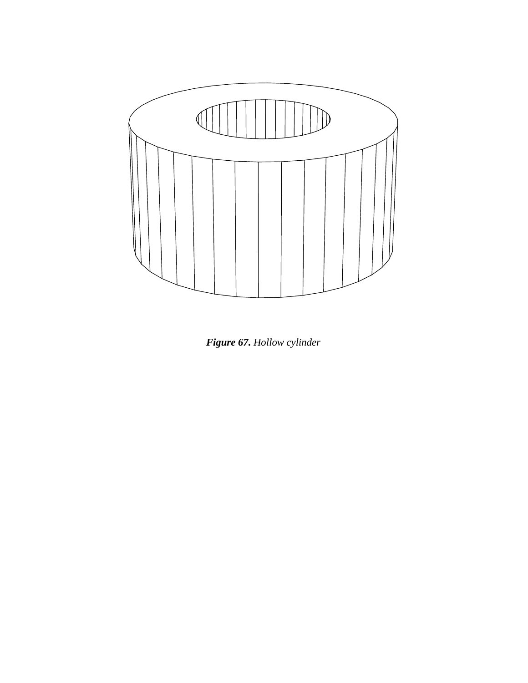

*Figure 67. Hollow cylinder*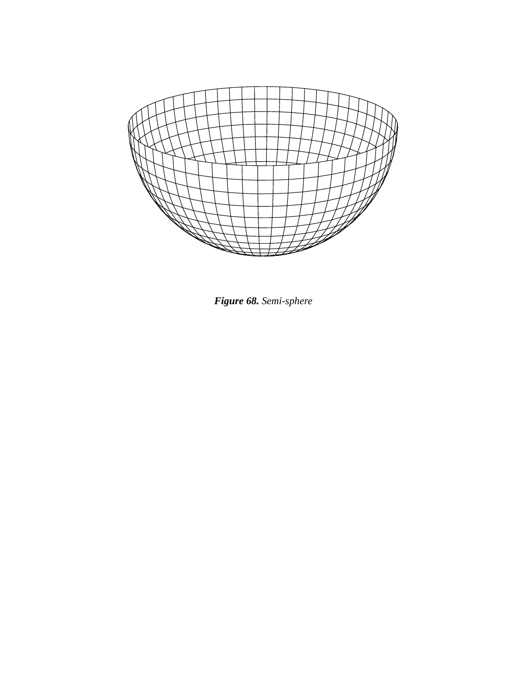

*Figure 68. Semi-sphere*